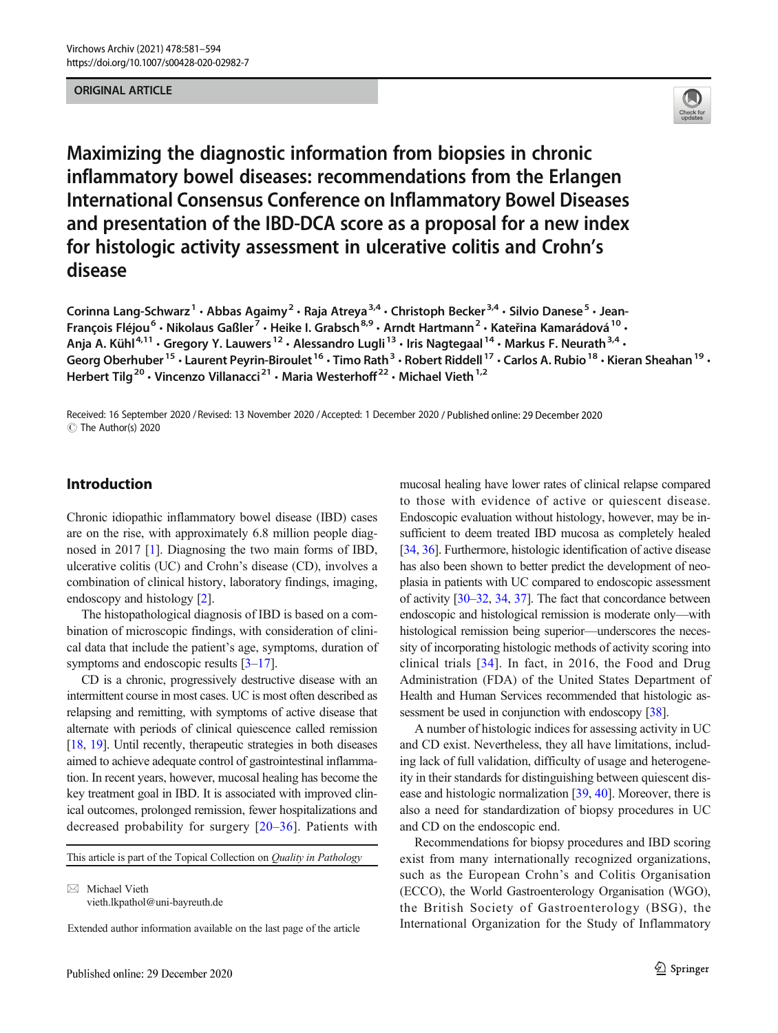### ORIGINAL ARTICLE



Maximizing the diagnostic information from biopsies in chronic inflammatory bowel diseases: recommendations from the Erlangen International Consensus Conference on Inflammatory Bowel Diseases and presentation of the IBD-DCA score as a proposal for a new index for histologic activity assessment in ulcerative colitis and Crohn's disease

```
Corinna Lang-Schwarz^1\cdot Abbas Agaimy^2\cdot Raja Atreya^{3,4}\cdot Christoph Becker^{3,4}\cdot Silvio Danese^5\cdot Jean-
François Fléjou^6 • Nikolaus Gaßler^7 • Heike I. Grabsch^{8,9} • Arndt Hartmann^2 • Kateřina Kamarádová ^{10} •
Anja A. Kühl<sup>4,11</sup> • Gregory Y. Lauwers<sup>12</sup> • Alessandro Lugli<sup>13</sup> • Iris Nagtegaal<sup>14</sup> • Markus F. Neurath<sup>3,4</sup> •
Georg Oberhuber<sup>15</sup> • Laurent Peyrin-Biroulet <sup>16</sup> • Timo Rath<sup>3</sup> • Robert Riddell <sup>17</sup> • Carlos A. Rubio <sup>18</sup> • Kieran Sheahan <sup>19</sup> •
Herbert Tilg<sup>20</sup> · Vincenzo Villanacci<sup>21</sup> · Maria Westerhoff<sup>22</sup> · Michael Vieth<sup>1,2</sup>
```
Received: 16 September 2020 / Revised: 13 November 2020 /Accepted: 1 December 2020 / Published online: 29 December 2020 $\circledcirc$  The Author(s) 2020

# Introduction

Chronic idiopathic inflammatory bowel disease (IBD) cases are on the rise, with approximately 6.8 million people diagnosed in 2017 [\[1](#page-8-0)]. Diagnosing the two main forms of IBD, ulcerative colitis (UC) and Crohn's disease (CD), involves a combination of clinical history, laboratory findings, imaging, endoscopy and histology [\[2\]](#page-8-0).

The histopathological diagnosis of IBD is based on a combination of microscopic findings, with consideration of clinical data that include the patient's age, symptoms, duration of symptoms and endoscopic results [[3](#page-8-0)–[17](#page-8-0)].

CD is a chronic, progressively destructive disease with an intermittent course in most cases. UC is most often described as relapsing and remitting, with symptoms of active disease that alternate with periods of clinical quiescence called remission [\[18,](#page-8-0) [19\]](#page-8-0). Until recently, therapeutic strategies in both diseases aimed to achieve adequate control of gastrointestinal inflammation. In recent years, however, mucosal healing has become the key treatment goal in IBD. It is associated with improved clinical outcomes, prolonged remission, fewer hospitalizations and decreased probability for surgery [[20](#page-8-0)–[36](#page-9-0)]. Patients with

This article is part of the Topical Collection on Quality in Pathology

 $\boxtimes$  Michael Vieth [vieth.lkpathol@uni-bayreuth.de](mailto:vieth.lkpathol@uni-bayreuth.de)

Extended author information available on the last page of the article

mucosal healing have lower rates of clinical relapse compared to those with evidence of active or quiescent disease. Endoscopic evaluation without histology, however, may be insufficient to deem treated IBD mucosa as completely healed [\[34,](#page-9-0) [36\]](#page-9-0). Furthermore, histologic identification of active disease has also been shown to better predict the development of neoplasia in patients with UC compared to endoscopic assessment of activity [\[30](#page-9-0)–[32](#page-9-0), [34,](#page-9-0) [37](#page-9-0)]. The fact that concordance between endoscopic and histological remission is moderate only—with histological remission being superior—underscores the necessity of incorporating histologic methods of activity scoring into clinical trials [\[34\]](#page-9-0). In fact, in 2016, the Food and Drug Administration (FDA) of the United States Department of Health and Human Services recommended that histologic as-sessment be used in conjunction with endoscopy [\[38](#page-9-0)].

A number of histologic indices for assessing activity in UC and CD exist. Nevertheless, they all have limitations, including lack of full validation, difficulty of usage and heterogeneity in their standards for distinguishing between quiescent disease and histologic normalization [\[39,](#page-9-0) [40](#page-9-0)]. Moreover, there is also a need for standardization of biopsy procedures in UC and CD on the endoscopic end.

Recommendations for biopsy procedures and IBD scoring exist from many internationally recognized organizations, such as the European Crohn's and Colitis Organisation (ECCO), the World Gastroenterology Organisation (WGO), the British Society of Gastroenterology (BSG), the International Organization for the Study of Inflammatory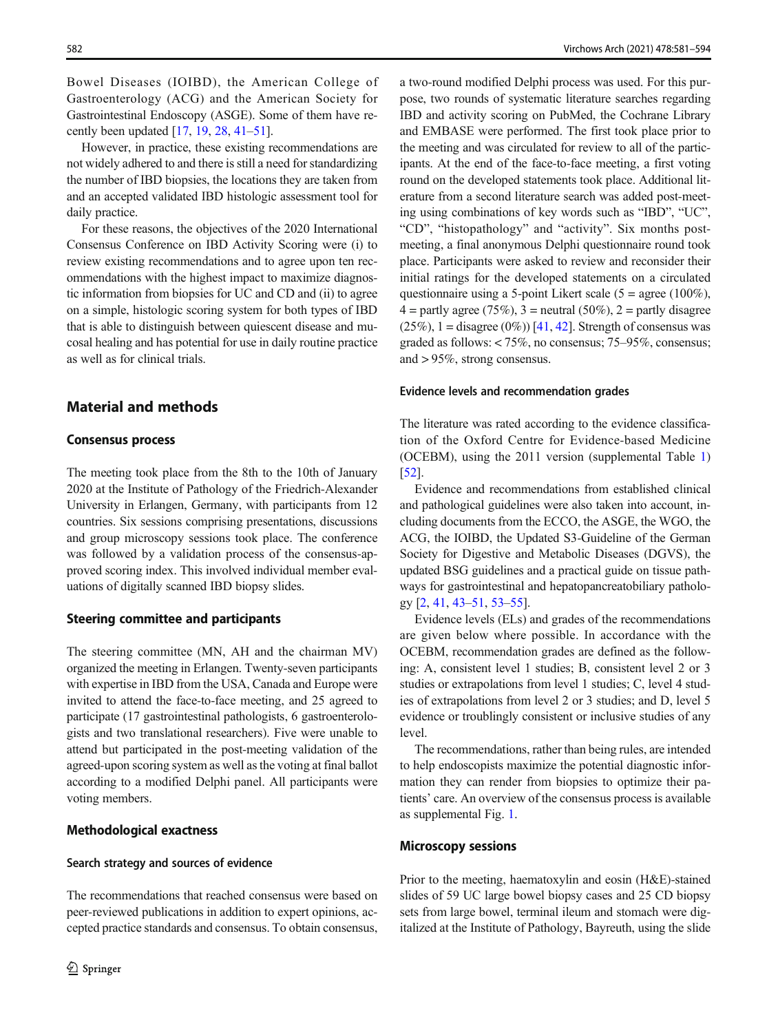Bowel Diseases (IOIBD), the American College of Gastroenterology (ACG) and the American Society for Gastrointestinal Endoscopy (ASGE). Some of them have recently been updated  $[17, 19, 28, 41-51]$  $[17, 19, 28, 41-51]$  $[17, 19, 28, 41-51]$  $[17, 19, 28, 41-51]$  $[17, 19, 28, 41-51]$  $[17, 19, 28, 41-51]$  $[17, 19, 28, 41-51]$  $[17, 19, 28, 41-51]$  $[17, 19, 28, 41-51]$  $[17, 19, 28, 41-51]$ .

However, in practice, these existing recommendations are not widely adhered to and there is still a need for standardizing the number of IBD biopsies, the locations they are taken from and an accepted validated IBD histologic assessment tool for daily practice.

For these reasons, the objectives of the 2020 International Consensus Conference on IBD Activity Scoring were (i) to review existing recommendations and to agree upon ten recommendations with the highest impact to maximize diagnostic information from biopsies for UC and CD and (ii) to agree on a simple, histologic scoring system for both types of IBD that is able to distinguish between quiescent disease and mucosal healing and has potential for use in daily routine practice as well as for clinical trials.

# Material and methods

### Consensus process

The meeting took place from the 8th to the 10th of January 2020 at the Institute of Pathology of the Friedrich-Alexander University in Erlangen, Germany, with participants from 12 countries. Six sessions comprising presentations, discussions and group microscopy sessions took place. The conference was followed by a validation process of the consensus-approved scoring index. This involved individual member evaluations of digitally scanned IBD biopsy slides.

### Steering committee and participants

The steering committee (MN, AH and the chairman MV) organized the meeting in Erlangen. Twenty-seven participants with expertise in IBD from the USA, Canada and Europe were invited to attend the face-to-face meeting, and 25 agreed to participate (17 gastrointestinal pathologists, 6 gastroenterologists and two translational researchers). Five were unable to attend but participated in the post-meeting validation of the agreed-upon scoring system as well as the voting at final ballot according to a modified Delphi panel. All participants were voting members.

### Methodological exactness

### Search strategy and sources of evidence

The recommendations that reached consensus were based on peer-reviewed publications in addition to expert opinions, accepted practice standards and consensus. To obtain consensus,

a two-round modified Delphi process was used. For this purpose, two rounds of systematic literature searches regarding IBD and activity scoring on PubMed, the Cochrane Library and EMBASE were performed. The first took place prior to the meeting and was circulated for review to all of the participants. At the end of the face-to-face meeting, a first voting round on the developed statements took place. Additional literature from a second literature search was added post-meeting using combinations of key words such as "IBD", "UC", "CD", "histopathology" and "activity". Six months postmeeting, a final anonymous Delphi questionnaire round took place. Participants were asked to review and reconsider their initial ratings for the developed statements on a circulated questionnaire using a 5-point Likert scale (5 = agree (100%),  $4 =$  partly agree (75%), 3 = neutral (50%), 2 = partly disagree  $(25\%)$ , 1 = disagree  $(0\%)$  [\[41,](#page-9-0) [42](#page-9-0)]. Strength of consensus was graded as follows: < 75%, no consensus; 75–95%, consensus; and > 95%, strong consensus.

#### Evidence levels and recommendation grades

The literature was rated according to the evidence classification of the Oxford Centre for Evidence-based Medicine (OCEBM), using the 2011 version (supplemental Table 1) [\[52](#page-10-0)].

Evidence and recommendations from established clinical and pathological guidelines were also taken into account, including documents from the ECCO, the ASGE, the WGO, the ACG, the IOIBD, the Updated S3-Guideline of the German Society for Digestive and Metabolic Diseases (DGVS), the updated BSG guidelines and a practical guide on tissue pathways for gastrointestinal and hepatopancreatobiliary pathology [[2,](#page-8-0) [41,](#page-9-0) [43](#page-9-0)–[51](#page-10-0), [53](#page-10-0)–[55\]](#page-10-0).

Evidence levels (ELs) and grades of the recommendations are given below where possible. In accordance with the OCEBM, recommendation grades are defined as the following: A, consistent level 1 studies; B, consistent level 2 or 3 studies or extrapolations from level 1 studies; C, level 4 studies of extrapolations from level 2 or 3 studies; and D, level 5 evidence or troublingly consistent or inclusive studies of any level.

The recommendations, rather than being rules, are intended to help endoscopists maximize the potential diagnostic information they can render from biopsies to optimize their patients' care. An overview of the consensus process is available as supplemental Fig. [1.](#page-6-0)

## Microscopy sessions

Prior to the meeting, haematoxylin and eosin (H&E)-stained slides of 59 UC large bowel biopsy cases and 25 CD biopsy sets from large bowel, terminal ileum and stomach were digitalized at the Institute of Pathology, Bayreuth, using the slide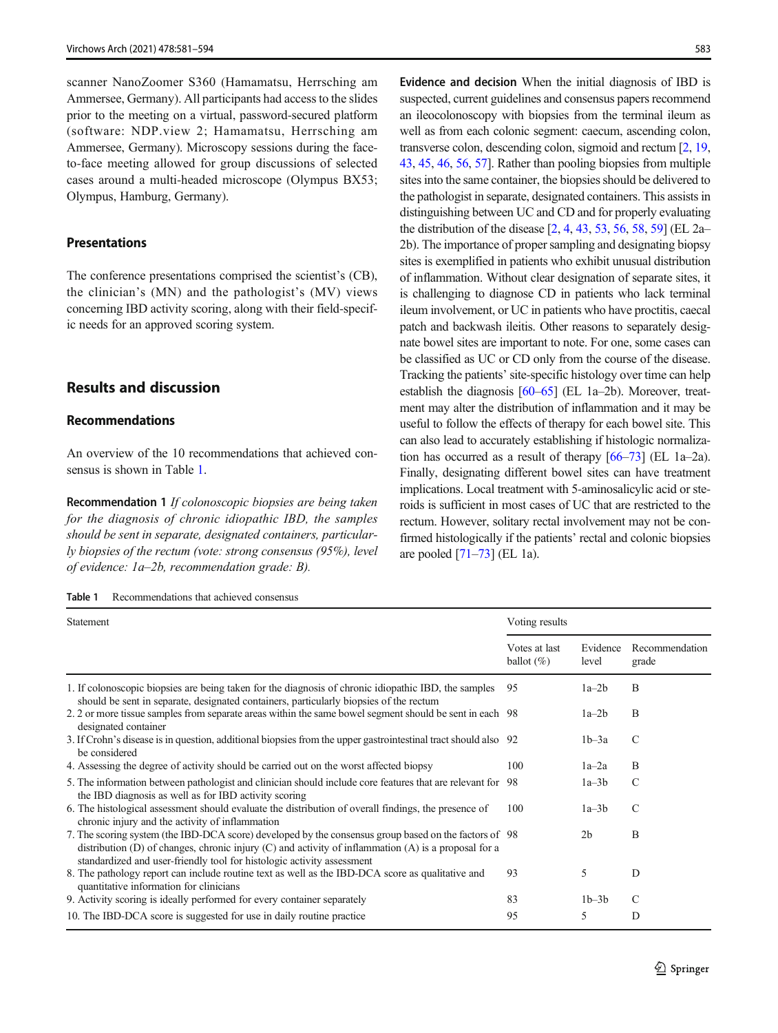scanner NanoZoomer S360 (Hamamatsu, Herrsching am Ammersee, Germany). All participants had access to the slides prior to the meeting on a virtual, password-secured platform (software: NDP.view 2; Hamamatsu, Herrsching am Ammersee, Germany). Microscopy sessions during the faceto-face meeting allowed for group discussions of selected cases around a multi-headed microscope (Olympus BX53; Olympus, Hamburg, Germany).

### Presentations

The conference presentations comprised the scientist's (CB), the clinician's (MN) and the pathologist's (MV) views concerning IBD activity scoring, along with their field-specific needs for an approved scoring system.

## Results and discussion

## Recommendations

An overview of the 10 recommendations that achieved consensus is shown in Table 1.

Recommendation 1 If colonoscopic biopsies are being taken for the diagnosis of chronic idiopathic IBD, the samples should be sent in separate, designated containers, particularly biopsies of the rectum (vote: strong consensus (95%), level of evidence: 1a–2b, recommendation grade: B).

| Recommendations that achieved consensus<br>Table 1 |
|----------------------------------------------------|
|----------------------------------------------------|

Evidence and decision When the initial diagnosis of IBD is suspected, current guidelines and consensus papers recommend an ileocolonoscopy with biopsies from the terminal ileum as well as from each colonic segment: caecum, ascending colon, transverse colon, descending colon, sigmoid and rectum [\[2,](#page-8-0) [19,](#page-8-0) [43,](#page-9-0) [45](#page-9-0), [46](#page-9-0), [56,](#page-10-0) [57](#page-10-0)]. Rather than pooling biopsies from multiple sites into the same container, the biopsies should be delivered to the pathologist in separate, designated containers. This assists in distinguishing between UC and CD and for properly evaluating the distribution of the disease [\[2,](#page-8-0) [4](#page-8-0), [43,](#page-9-0) [53,](#page-10-0) [56](#page-10-0), [58,](#page-10-0) [59\]](#page-10-0) (EL 2a– 2b). The importance of proper sampling and designating biopsy sites is exemplified in patients who exhibit unusual distribution of inflammation. Without clear designation of separate sites, it is challenging to diagnose CD in patients who lack terminal ileum involvement, or UC in patients who have proctitis, caecal patch and backwash ileitis. Other reasons to separately designate bowel sites are important to note. For one, some cases can be classified as UC or CD only from the course of the disease. Tracking the patients' site-specific histology over time can help establish the diagnosis [\[60](#page-10-0)–[65\]](#page-10-0) (EL 1a–2b). Moreover, treatment may alter the distribution of inflammation and it may be useful to follow the effects of therapy for each bowel site. This can also lead to accurately establishing if histologic normalization has occurred as a result of therapy [\[66](#page-10-0)–[73](#page-10-0)] (EL 1a–2a). Finally, designating different bowel sites can have treatment implications. Local treatment with 5-aminosalicylic acid or steroids is sufficient in most cases of UC that are restricted to the rectum. However, solitary rectal involvement may not be confirmed histologically if the patients' rectal and colonic biopsies are pooled  $[71-73]$  $[71-73]$  $[71-73]$  $[71-73]$  (EL 1a).

| Statement                                                                                                                                                                                                                                                                               |                                | Voting results    |                         |  |
|-----------------------------------------------------------------------------------------------------------------------------------------------------------------------------------------------------------------------------------------------------------------------------------------|--------------------------------|-------------------|-------------------------|--|
|                                                                                                                                                                                                                                                                                         | Votes at last<br>ballot $(\%)$ | Evidence<br>level | Recommendation<br>grade |  |
| 1. If colonoscopic biopsies are being taken for the diagnosis of chronic idiopathic IBD, the samples<br>should be sent in separate, designated containers, particularly biopsies of the rectum                                                                                          | 95                             | $1a-2b$           | B                       |  |
| 2.2 or more tissue samples from separate areas within the same bowel segment should be sent in each 98<br>designated container                                                                                                                                                          |                                | $1a-2b$           | B                       |  |
| 3. If Crohn's disease is in question, additional biopsies from the upper gastrointestinal tract should also 92<br>be considered                                                                                                                                                         |                                | $1b-3a$           | $\mathcal{C}$           |  |
| 4. Assessing the degree of activity should be carried out on the worst affected biopsy                                                                                                                                                                                                  | 100                            | $1a-2a$           | B                       |  |
| 5. The information between pathologist and clinician should include core features that are relevant for 98<br>the IBD diagnosis as well as for IBD activity scoring                                                                                                                     |                                | $1a-3b$           | $\mathcal{C}$           |  |
| 6. The histological assessment should evaluate the distribution of overall findings, the presence of<br>chronic injury and the activity of inflammation                                                                                                                                 | 100                            | $1a-3b$           | $\mathcal{C}$           |  |
| 7. The scoring system (the IBD-DCA score) developed by the consensus group based on the factors of 98<br>distribution (D) of changes, chronic injury (C) and activity of inflammation (A) is a proposal for a<br>standardized and user-friendly tool for histologic activity assessment |                                | 2 <sub>b</sub>    | B                       |  |
| 8. The pathology report can include routine text as well as the IBD-DCA score as qualitative and<br>quantitative information for clinicians                                                                                                                                             | 93                             | 5                 | D                       |  |
| 9. Activity scoring is ideally performed for every container separately                                                                                                                                                                                                                 | 83                             | $1b-3b$           | $\mathcal{C}$           |  |
| 10. The IBD-DCA score is suggested for use in daily routine practice                                                                                                                                                                                                                    | 95                             | 5                 | D                       |  |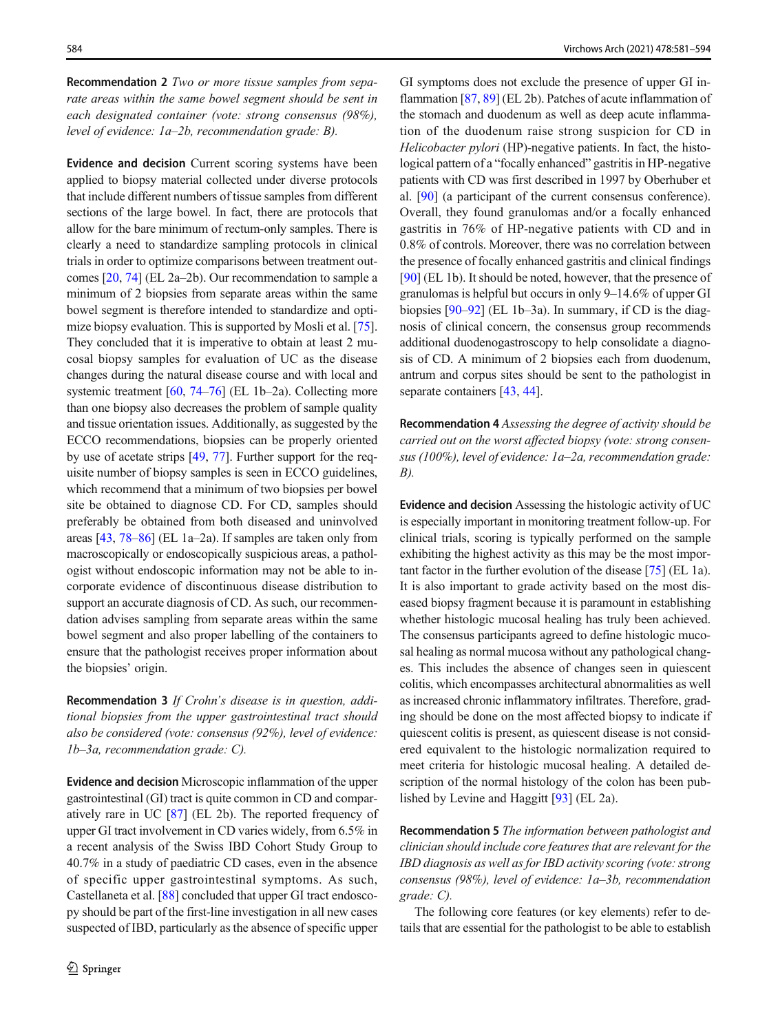Recommendation 2 Two or more tissue samples from separate areas within the same bowel segment should be sent in each designated container (vote: strong consensus (98%), level of evidence: 1a–2b, recommendation grade: B).

Evidence and decision Current scoring systems have been applied to biopsy material collected under diverse protocols that include different numbers of tissue samples from different sections of the large bowel. In fact, there are protocols that allow for the bare minimum of rectum-only samples. There is clearly a need to standardize sampling protocols in clinical trials in order to optimize comparisons between treatment outcomes [\[20](#page-8-0), [74\]](#page-10-0) (EL 2a–2b). Our recommendation to sample a minimum of 2 biopsies from separate areas within the same bowel segment is therefore intended to standardize and optimize biopsy evaluation. This is supported by Mosli et al. [[75\]](#page-10-0). They concluded that it is imperative to obtain at least 2 mucosal biopsy samples for evaluation of UC as the disease changes during the natural disease course and with local and systemic treatment [\[60,](#page-10-0) [74](#page-10-0)–[76\]](#page-10-0) (EL 1b–2a). Collecting more than one biopsy also decreases the problem of sample quality and tissue orientation issues. Additionally, as suggested by the ECCO recommendations, biopsies can be properly oriented by use of acetate strips [\[49](#page-10-0), [77\]](#page-11-0). Further support for the requisite number of biopsy samples is seen in ECCO guidelines, which recommend that a minimum of two biopsies per bowel site be obtained to diagnose CD. For CD, samples should preferably be obtained from both diseased and uninvolved areas [\[43](#page-9-0), [78](#page-11-0)–[86\]](#page-11-0) (EL 1a–2a). If samples are taken only from macroscopically or endoscopically suspicious areas, a pathologist without endoscopic information may not be able to incorporate evidence of discontinuous disease distribution to support an accurate diagnosis of CD. As such, our recommendation advises sampling from separate areas within the same bowel segment and also proper labelling of the containers to ensure that the pathologist receives proper information about the biopsies' origin.

Recommendation 3 If Crohn's disease is in question, additional biopsies from the upper gastrointestinal tract should also be considered (vote: consensus (92%), level of evidence: 1b–3a, recommendation grade: C).

Evidence and decision Microscopic inflammation of the upper gastrointestinal (GI) tract is quite common in CD and comparatively rare in UC [[87](#page-11-0)] (EL 2b). The reported frequency of upper GI tract involvement in CD varies widely, from 6.5% in a recent analysis of the Swiss IBD Cohort Study Group to 40.7% in a study of paediatric CD cases, even in the absence of specific upper gastrointestinal symptoms. As such, Castellaneta et al. [\[88\]](#page-11-0) concluded that upper GI tract endoscopy should be part of the first-line investigation in all new cases suspected of IBD, particularly as the absence of specific upper

GI symptoms does not exclude the presence of upper GI inflammation [[87](#page-11-0), [89\]](#page-11-0) (EL 2b). Patches of acute inflammation of the stomach and duodenum as well as deep acute inflammation of the duodenum raise strong suspicion for CD in Helicobacter pylori (HP)-negative patients. In fact, the histological pattern of a "focally enhanced" gastritis in HP-negative patients with CD was first described in 1997 by Oberhuber et al. [\[90](#page-11-0)] (a participant of the current consensus conference). Overall, they found granulomas and/or a focally enhanced gastritis in 76% of HP-negative patients with CD and in 0.8% of controls. Moreover, there was no correlation between the presence of focally enhanced gastritis and clinical findings [\[90](#page-11-0)] (EL 1b). It should be noted, however, that the presence of granulomas is helpful but occurs in only 9–14.6% of upper GI biopsies [[90](#page-11-0)–[92](#page-11-0)] (EL 1b–3a). In summary, if CD is the diagnosis of clinical concern, the consensus group recommends additional duodenogastroscopy to help consolidate a diagnosis of CD. A minimum of 2 biopsies each from duodenum, antrum and corpus sites should be sent to the pathologist in separate containers [[43](#page-9-0), [44](#page-9-0)].

Recommendation 4 Assessing the degree of activity should be carried out on the worst affected biopsy (vote: strong consensus (100%), level of evidence: 1a–2a, recommendation grade: B).

Evidence and decision Assessing the histologic activity of UC is especially important in monitoring treatment follow-up. For clinical trials, scoring is typically performed on the sample exhibiting the highest activity as this may be the most important factor in the further evolution of the disease [[75\]](#page-10-0) (EL 1a). It is also important to grade activity based on the most diseased biopsy fragment because it is paramount in establishing whether histologic mucosal healing has truly been achieved. The consensus participants agreed to define histologic mucosal healing as normal mucosa without any pathological changes. This includes the absence of changes seen in quiescent colitis, which encompasses architectural abnormalities as well as increased chronic inflammatory infiltrates. Therefore, grading should be done on the most affected biopsy to indicate if quiescent colitis is present, as quiescent disease is not considered equivalent to the histologic normalization required to meet criteria for histologic mucosal healing. A detailed description of the normal histology of the colon has been published by Levine and Haggitt [\[93](#page-11-0)] (EL 2a).

Recommendation 5 The information between pathologist and clinician should include core features that are relevant for the IBD diagnosis as well as for IBD activity scoring (vote: strong consensus (98%), level of evidence: 1a–3b, recommendation grade: C).

The following core features (or key elements) refer to details that are essential for the pathologist to be able to establish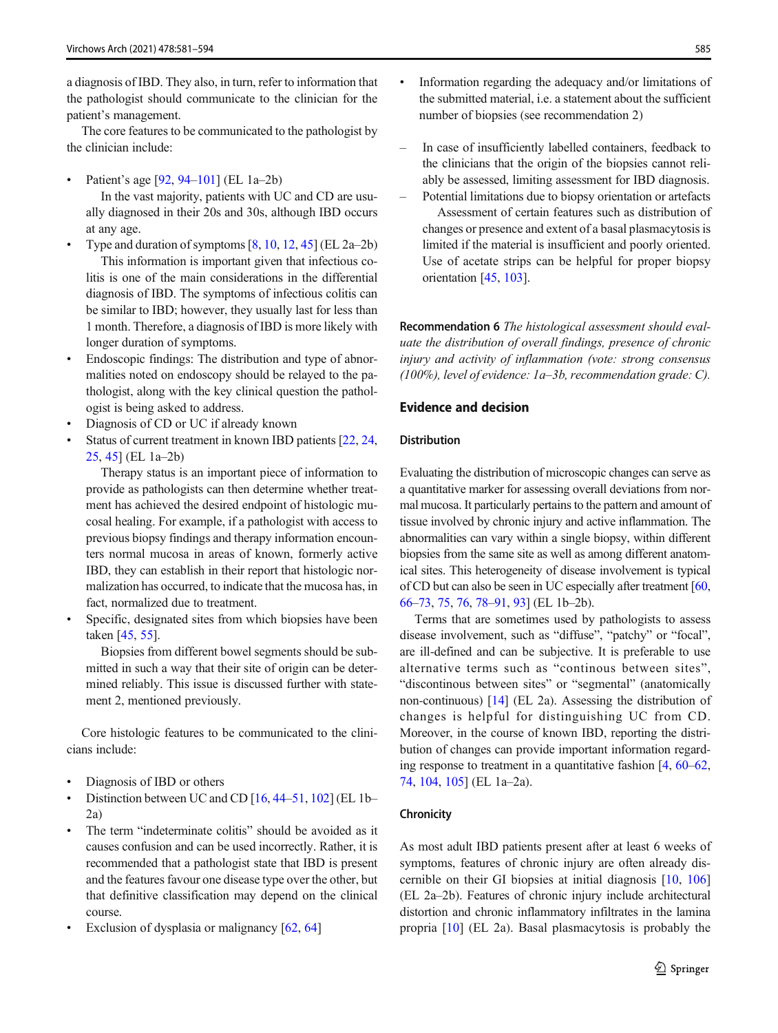a diagnosis of IBD. They also, in turn, refer to information that the pathologist should communicate to the clinician for the patient's management.

The core features to be communicated to the pathologist by the clinician include:

Patient's age [\[92](#page-11-0), [94](#page-11-0)–[101\]](#page-11-0) (EL 1a–2b)

In the vast majority, patients with UC and CD are usually diagnosed in their 20s and 30s, although IBD occurs at any age.

- Type and duration of symptoms  $[8, 10, 12, 45]$  $[8, 10, 12, 45]$  $[8, 10, 12, 45]$  $[8, 10, 12, 45]$  $[8, 10, 12, 45]$  $[8, 10, 12, 45]$  $[8, 10, 12, 45]$  $[8, 10, 12, 45]$  $[8, 10, 12, 45]$  (EL 2a–2b) This information is important given that infectious colitis is one of the main considerations in the differential diagnosis of IBD. The symptoms of infectious colitis can be similar to IBD; however, they usually last for less than 1 month. Therefore, a diagnosis of IBD is more likely with longer duration of symptoms.
- Endoscopic findings: The distribution and type of abnormalities noted on endoscopy should be relayed to the pathologist, along with the key clinical question the pathologist is being asked to address.
- Diagnosis of CD or UC if already known
- Status of current treatment in known IBD patients [\[22](#page-9-0), [24,](#page-9-0) [25,](#page-9-0) [45\]](#page-9-0) (EL 1a–2b)

Therapy status is an important piece of information to provide as pathologists can then determine whether treatment has achieved the desired endpoint of histologic mucosal healing. For example, if a pathologist with access to previous biopsy findings and therapy information encounters normal mucosa in areas of known, formerly active IBD, they can establish in their report that histologic normalization has occurred, to indicate that the mucosa has, in fact, normalized due to treatment.

Specific, designated sites from which biopsies have been taken [[45](#page-9-0), [55](#page-10-0)].

Biopsies from different bowel segments should be submitted in such a way that their site of origin can be determined reliably. This issue is discussed further with statement 2, mentioned previously.

Core histologic features to be communicated to the clinicians include:

- Diagnosis of IBD or others
- Distinction between UC and CD  $[16, 44-51, 102]$  $[16, 44-51, 102]$  $[16, 44-51, 102]$  $[16, 44-51, 102]$  $[16, 44-51, 102]$  $[16, 44-51, 102]$  $[16, 44-51, 102]$  $[16, 44-51, 102]$  (EL 1b– 2a)
- The term "indeterminate colitis" should be avoided as it causes confusion and can be used incorrectly. Rather, it is recommended that a pathologist state that IBD is present and the features favour one disease type over the other, but that definitive classification may depend on the clinical course.
- Exclusion of dysplasia or malignancy [\[62](#page-10-0), [64\]](#page-10-0)
- Information regarding the adequacy and/or limitations of the submitted material, i.e. a statement about the sufficient number of biopsies (see recommendation 2)
- In case of insufficiently labelled containers, feedback to the clinicians that the origin of the biopsies cannot reliably be assessed, limiting assessment for IBD diagnosis.
- Potential limitations due to biopsy orientation or artefacts Assessment of certain features such as distribution of changes or presence and extent of a basal plasmacytosis is limited if the material is insufficient and poorly oriented. Use of acetate strips can be helpful for proper biopsy orientation [\[45,](#page-9-0) [103](#page-11-0)].

Recommendation 6 The histological assessment should evaluate the distribution of overall findings, presence of chronic injury and activity of inflammation (vote: strong consensus (100%), level of evidence: 1a–3b, recommendation grade: C).

## Evidence and decision

### Distribution

Evaluating the distribution of microscopic changes can serve as a quantitative marker for assessing overall deviations from normal mucosa. It particularly pertains to the pattern and amount of tissue involved by chronic injury and active inflammation. The abnormalities can vary within a single biopsy, within different biopsies from the same site as well as among different anatomical sites. This heterogeneity of disease involvement is typical of CD but can also be seen in UC especially after treatment [\[60,](#page-10-0) [66](#page-10-0)–[73](#page-10-0), [75,](#page-10-0) [76](#page-10-0), [78](#page-11-0)–[91](#page-11-0), [93\]](#page-11-0) (EL 1b–2b).

Terms that are sometimes used by pathologists to assess disease involvement, such as "diffuse", "patchy" or "focal", are ill-defined and can be subjective. It is preferable to use alternative terms such as "continous between sites", "discontinous between sites" or "segmental" (anatomically non-continuous) [\[14](#page-8-0)] (EL 2a). Assessing the distribution of changes is helpful for distinguishing UC from CD. Moreover, in the course of known IBD, reporting the distribution of changes can provide important information regarding response to treatment in a quantitative fashion [\[4](#page-8-0), [60](#page-10-0)–[62,](#page-10-0) [74,](#page-10-0) [104,](#page-12-0) [105](#page-12-0)] (EL 1a–2a).

### Chronicity

As most adult IBD patients present after at least 6 weeks of symptoms, features of chronic injury are often already discernible on their GI biopsies at initial diagnosis [[10,](#page-8-0) [106](#page-12-0)] (EL 2a–2b). Features of chronic injury include architectural distortion and chronic inflammatory infiltrates in the lamina propria [[10\]](#page-8-0) (EL 2a). Basal plasmacytosis is probably the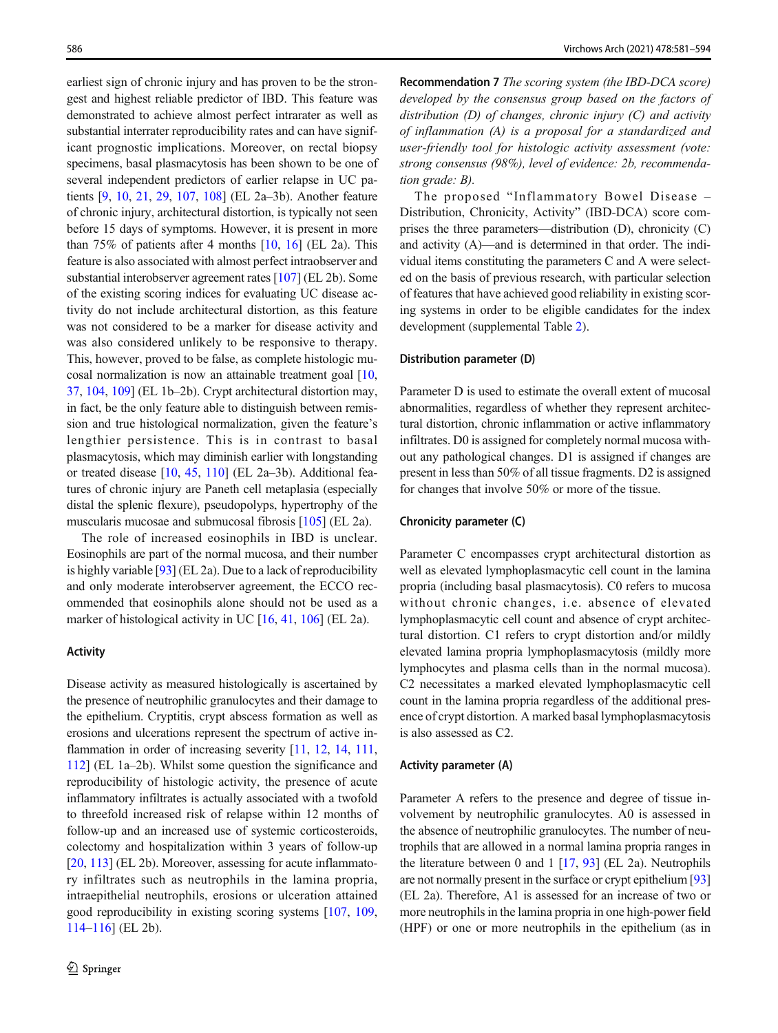earliest sign of chronic injury and has proven to be the strongest and highest reliable predictor of IBD. This feature was demonstrated to achieve almost perfect intrarater as well as substantial interrater reproducibility rates and can have significant prognostic implications. Moreover, on rectal biopsy specimens, basal plasmacytosis has been shown to be one of several independent predictors of earlier relapse in UC patients [\[9](#page-8-0), [10,](#page-8-0) [21,](#page-8-0) [29](#page-9-0), [107,](#page-12-0) [108](#page-12-0)] (EL 2a–3b). Another feature of chronic injury, architectural distortion, is typically not seen before 15 days of symptoms. However, it is present in more than 75% of patients after 4 months  $[10, 16]$  $[10, 16]$  $[10, 16]$  $[10, 16]$  $[10, 16]$  (EL 2a). This feature is also associated with almost perfect intraobserver and substantial interobserver agreement rates [\[107](#page-12-0)] (EL 2b). Some of the existing scoring indices for evaluating UC disease activity do not include architectural distortion, as this feature was not considered to be a marker for disease activity and was also considered unlikely to be responsive to therapy. This, however, proved to be false, as complete histologic mucosal normalization is now an attainable treatment goal [[10,](#page-8-0) [37,](#page-9-0) [104](#page-12-0), [109](#page-12-0)] (EL 1b–2b). Crypt architectural distortion may, in fact, be the only feature able to distinguish between remission and true histological normalization, given the feature's lengthier persistence. This is in contrast to basal plasmacytosis, which may diminish earlier with longstanding or treated disease [\[10,](#page-8-0) [45](#page-9-0), [110\]](#page-12-0) (EL 2a–3b). Additional features of chronic injury are Paneth cell metaplasia (especially distal the splenic flexure), pseudopolyps, hypertrophy of the muscularis mucosae and submucosal fibrosis [[105\]](#page-12-0) (EL 2a).

The role of increased eosinophils in IBD is unclear. Eosinophils are part of the normal mucosa, and their number is highly variable  $[93]$  (EL 2a). Due to a lack of reproducibility and only moderate interobserver agreement, the ECCO recommended that eosinophils alone should not be used as a marker of histological activity in UC [\[16](#page-8-0), [41,](#page-9-0) [106\]](#page-12-0) (EL 2a).

#### Activity

Disease activity as measured histologically is ascertained by the presence of neutrophilic granulocytes and their damage to the epithelium. Cryptitis, crypt abscess formation as well as erosions and ulcerations represent the spectrum of active in-flammation in order of increasing severity [\[11,](#page-8-0) [12](#page-8-0), [14](#page-8-0), [111,](#page-12-0) [112\]](#page-12-0) (EL 1a–2b). Whilst some question the significance and reproducibility of histologic activity, the presence of acute inflammatory infiltrates is actually associated with a twofold to threefold increased risk of relapse within 12 months of follow-up and an increased use of systemic corticosteroids, colectomy and hospitalization within 3 years of follow-up [\[20,](#page-8-0) [113](#page-12-0)] (EL 2b). Moreover, assessing for acute inflammatory infiltrates such as neutrophils in the lamina propria, intraepithelial neutrophils, erosions or ulceration attained good reproducibility in existing scoring systems [\[107,](#page-12-0) [109,](#page-12-0) [114](#page-12-0)–[116](#page-12-0)] (EL 2b).

Recommendation 7 The scoring system (the IBD-DCA score) developed by the consensus group based on the factors of distribution  $(D)$  of changes, chronic injury  $(C)$  and activity of inflammation (A) is a proposal for a standardized and user-friendly tool for histologic activity assessment (vote: strong consensus (98%), level of evidence: 2b, recommendation grade: B).

The proposed "Inflammatory Bowel Disease – Distribution, Chronicity, Activity" (IBD-DCA) score comprises the three parameters—distribution (D), chronicity (C) and activity (A)—and is determined in that order. The individual items constituting the parameters C and A were selected on the basis of previous research, with particular selection of features that have achieved good reliability in existing scoring systems in order to be eligible candidates for the index development (supplemental Table 2).

#### Distribution parameter (D)

Parameter D is used to estimate the overall extent of mucosal abnormalities, regardless of whether they represent architectural distortion, chronic inflammation or active inflammatory infiltrates. D0 is assigned for completely normal mucosa without any pathological changes. D1 is assigned if changes are present in less than 50% of all tissue fragments. D2 is assigned for changes that involve 50% or more of the tissue.

#### Chronicity parameter (C)

Parameter C encompasses crypt architectural distortion as well as elevated lymphoplasmacytic cell count in the lamina propria (including basal plasmacytosis). C0 refers to mucosa without chronic changes, i.e. absence of elevated lymphoplasmacytic cell count and absence of crypt architectural distortion. C1 refers to crypt distortion and/or mildly elevated lamina propria lymphoplasmacytosis (mildly more lymphocytes and plasma cells than in the normal mucosa). C2 necessitates a marked elevated lymphoplasmacytic cell count in the lamina propria regardless of the additional presence of crypt distortion. A marked basal lymphoplasmacytosis is also assessed as C2.

## Activity parameter (A)

Parameter A refers to the presence and degree of tissue involvement by neutrophilic granulocytes. A0 is assessed in the absence of neutrophilic granulocytes. The number of neutrophils that are allowed in a normal lamina propria ranges in the literature between 0 and 1  $[17, 93]$  $[17, 93]$  $[17, 93]$  $[17, 93]$  $[17, 93]$  (EL 2a). Neutrophils are not normally present in the surface or crypt epithelium [\[93](#page-11-0)] (EL 2a). Therefore, A1 is assessed for an increase of two or more neutrophils in the lamina propria in one high-power field (HPF) or one or more neutrophils in the epithelium (as in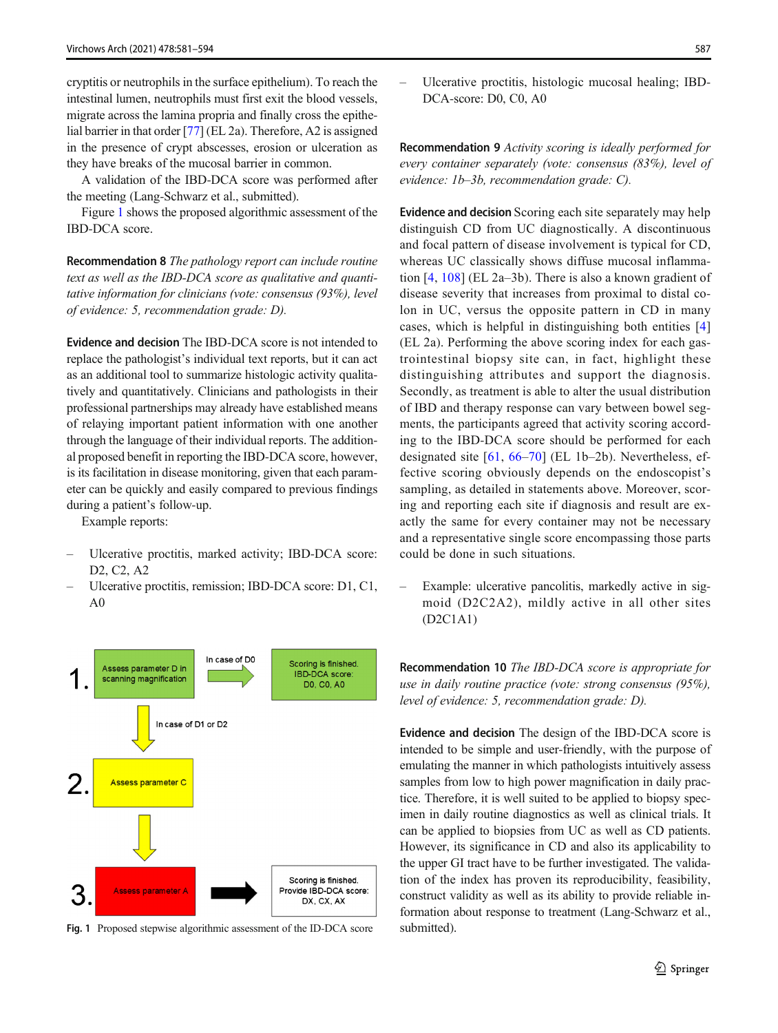<span id="page-6-0"></span>cryptitis or neutrophils in the surface epithelium). To reach the intestinal lumen, neutrophils must first exit the blood vessels, migrate across the lamina propria and finally cross the epithelial barrier in that order [\[77](#page-11-0)] (EL 2a). Therefore, A2 is assigned in the presence of crypt abscesses, erosion or ulceration as they have breaks of the mucosal barrier in common.

A validation of the IBD-DCA score was performed after the meeting (Lang-Schwarz et al., submitted).

Figure 1 shows the proposed algorithmic assessment of the IBD-DCA score.

Recommendation 8 The pathology report can include routine text as well as the IBD-DCA score as qualitative and quantitative information for clinicians (vote: consensus (93%), level of evidence: 5, recommendation grade: D).

Evidence and decision The IBD-DCA score is not intended to replace the pathologist's individual text reports, but it can act as an additional tool to summarize histologic activity qualitatively and quantitatively. Clinicians and pathologists in their professional partnerships may already have established means of relaying important patient information with one another through the language of their individual reports. The additional proposed benefit in reporting the IBD-DCA score, however, is its facilitation in disease monitoring, given that each parameter can be quickly and easily compared to previous findings during a patient's follow-up.

Example reports:

- Ulcerative proctitis, marked activity; IBD-DCA score: D2, C2, A2
- Ulcerative proctitis, remission; IBD-DCA score: D1, C1, A0



Fig. 1 Proposed stepwise algorithmic assessment of the ID-DCA score submitted).

– Ulcerative proctitis, histologic mucosal healing; IBD-DCA-score: D0, C0, A0

Recommendation 9 Activity scoring is ideally performed for every container separately (vote: consensus (83%), level of evidence: 1b–3b, recommendation grade: C).

Evidence and decision Scoring each site separately may help distinguish CD from UC diagnostically. A discontinuous and focal pattern of disease involvement is typical for CD, whereas UC classically shows diffuse mucosal inflammation [[4,](#page-8-0) [108\]](#page-12-0) (EL 2a–3b). There is also a known gradient of disease severity that increases from proximal to distal colon in UC, versus the opposite pattern in CD in many cases, which is helpful in distinguishing both entities [[4](#page-8-0)] (EL 2a). Performing the above scoring index for each gastrointestinal biopsy site can, in fact, highlight these distinguishing attributes and support the diagnosis. Secondly, as treatment is able to alter the usual distribution of IBD and therapy response can vary between bowel segments, the participants agreed that activity scoring according to the IBD-DCA score should be performed for each designated site [\[61,](#page-10-0) [66](#page-10-0)–[70\]](#page-10-0) (EL 1b–2b). Nevertheless, effective scoring obviously depends on the endoscopist's sampling, as detailed in statements above. Moreover, scoring and reporting each site if diagnosis and result are exactly the same for every container may not be necessary and a representative single score encompassing those parts could be done in such situations.

– Example: ulcerative pancolitis, markedly active in sigmoid (D2C2A2), mildly active in all other sites (D2C1A1)

Recommendation 10 The IBD-DCA score is appropriate for use in daily routine practice (vote: strong consensus (95%), level of evidence: 5, recommendation grade: D).

Evidence and decision The design of the IBD-DCA score is intended to be simple and user-friendly, with the purpose of emulating the manner in which pathologists intuitively assess samples from low to high power magnification in daily practice. Therefore, it is well suited to be applied to biopsy specimen in daily routine diagnostics as well as clinical trials. It can be applied to biopsies from UC as well as CD patients. However, its significance in CD and also its applicability to the upper GI tract have to be further investigated. The validation of the index has proven its reproducibility, feasibility, construct validity as well as its ability to provide reliable information about response to treatment (Lang-Schwarz et al.,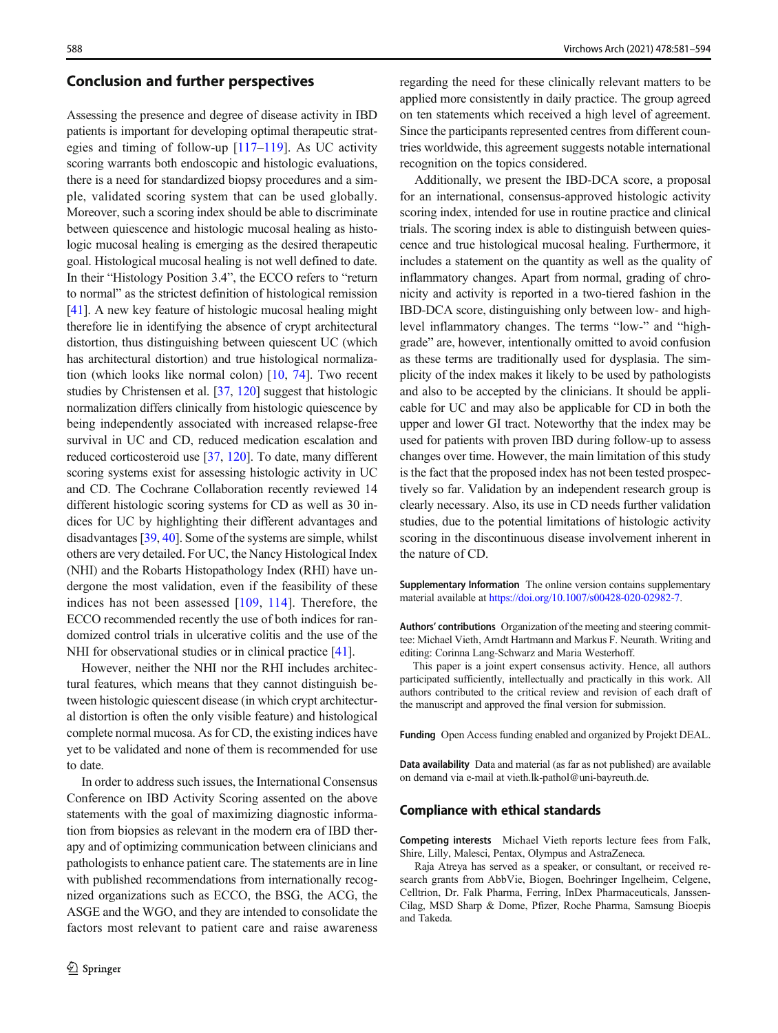### Conclusion and further perspectives

Assessing the presence and degree of disease activity in IBD patients is important for developing optimal therapeutic strategies and timing of follow-up [[117](#page-12-0)–[119](#page-12-0)]. As UC activity scoring warrants both endoscopic and histologic evaluations, there is a need for standardized biopsy procedures and a simple, validated scoring system that can be used globally. Moreover, such a scoring index should be able to discriminate between quiescence and histologic mucosal healing as histologic mucosal healing is emerging as the desired therapeutic goal. Histological mucosal healing is not well defined to date. In their "Histology Position 3.4", the ECCO refers to "return to normal" as the strictest definition of histological remission [\[41\]](#page-9-0). A new key feature of histologic mucosal healing might therefore lie in identifying the absence of crypt architectural distortion, thus distinguishing between quiescent UC (which has architectural distortion) and true histological normalization (which looks like normal colon) [\[10,](#page-8-0) [74](#page-10-0)]. Two recent studies by Christensen et al. [\[37](#page-9-0), [120](#page-12-0)] suggest that histologic normalization differs clinically from histologic quiescence by being independently associated with increased relapse-free survival in UC and CD, reduced medication escalation and reduced corticosteroid use [[37,](#page-9-0) [120\]](#page-12-0). To date, many different scoring systems exist for assessing histologic activity in UC and CD. The Cochrane Collaboration recently reviewed 14 different histologic scoring systems for CD as well as 30 indices for UC by highlighting their different advantages and disadvantages [\[39](#page-9-0), [40](#page-9-0)]. Some of the systems are simple, whilst others are very detailed. For UC, the Nancy Histological Index (NHI) and the Robarts Histopathology Index (RHI) have undergone the most validation, even if the feasibility of these indices has not been assessed [\[109,](#page-12-0) [114](#page-12-0)]. Therefore, the ECCO recommended recently the use of both indices for randomized control trials in ulcerative colitis and the use of the NHI for observational studies or in clinical practice [[41](#page-9-0)].

However, neither the NHI nor the RHI includes architectural features, which means that they cannot distinguish between histologic quiescent disease (in which crypt architectural distortion is often the only visible feature) and histological complete normal mucosa. As for CD, the existing indices have yet to be validated and none of them is recommended for use to date.

In order to address such issues, the International Consensus Conference on IBD Activity Scoring assented on the above statements with the goal of maximizing diagnostic information from biopsies as relevant in the modern era of IBD therapy and of optimizing communication between clinicians and pathologists to enhance patient care. The statements are in line with published recommendations from internationally recognized organizations such as ECCO, the BSG, the ACG, the ASGE and the WGO, and they are intended to consolidate the factors most relevant to patient care and raise awareness

regarding the need for these clinically relevant matters to be applied more consistently in daily practice. The group agreed on ten statements which received a high level of agreement. Since the participants represented centres from different countries worldwide, this agreement suggests notable international recognition on the topics considered.

Additionally, we present the IBD-DCA score, a proposal for an international, consensus-approved histologic activity scoring index, intended for use in routine practice and clinical trials. The scoring index is able to distinguish between quiescence and true histological mucosal healing. Furthermore, it includes a statement on the quantity as well as the quality of inflammatory changes. Apart from normal, grading of chronicity and activity is reported in a two-tiered fashion in the IBD-DCA score, distinguishing only between low- and highlevel inflammatory changes. The terms "low-" and "highgrade" are, however, intentionally omitted to avoid confusion as these terms are traditionally used for dysplasia. The simplicity of the index makes it likely to be used by pathologists and also to be accepted by the clinicians. It should be applicable for UC and may also be applicable for CD in both the upper and lower GI tract. Noteworthy that the index may be used for patients with proven IBD during follow-up to assess changes over time. However, the main limitation of this study is the fact that the proposed index has not been tested prospectively so far. Validation by an independent research group is clearly necessary. Also, its use in CD needs further validation studies, due to the potential limitations of histologic activity scoring in the discontinuous disease involvement inherent in the nature of CD.

Supplementary Information The online version contains supplementary material available at [https://doi.org/10.1007/s00428-020-02982-7.](https://doi.org/10.1007/s00428-020-02982-7)

Authors' contributions Organization of the meeting and steering committee: Michael Vieth, Arndt Hartmann and Markus F. Neurath. Writing and editing: Corinna Lang-Schwarz and Maria Westerhoff.

This paper is a joint expert consensus activity. Hence, all authors participated sufficiently, intellectually and practically in this work. All authors contributed to the critical review and revision of each draft of the manuscript and approved the final version for submission.

Funding Open Access funding enabled and organized by Projekt DEAL.

Data availability Data and material (as far as not published) are available on demand via e-mail at vieth.lk-pathol@uni-bayreuth.de.

#### Compliance with ethical standards

Competing interests Michael Vieth reports lecture fees from Falk, Shire, Lilly, Malesci, Pentax, Olympus and AstraZeneca.

Raja Atreya has served as a speaker, or consultant, or received research grants from AbbVie, Biogen, Boehringer Ingelheim, Celgene, Celltrion, Dr. Falk Pharma, Ferring, InDex Pharmaceuticals, Janssen-Cilag, MSD Sharp & Dome, Pfizer, Roche Pharma, Samsung Bioepis and Takeda.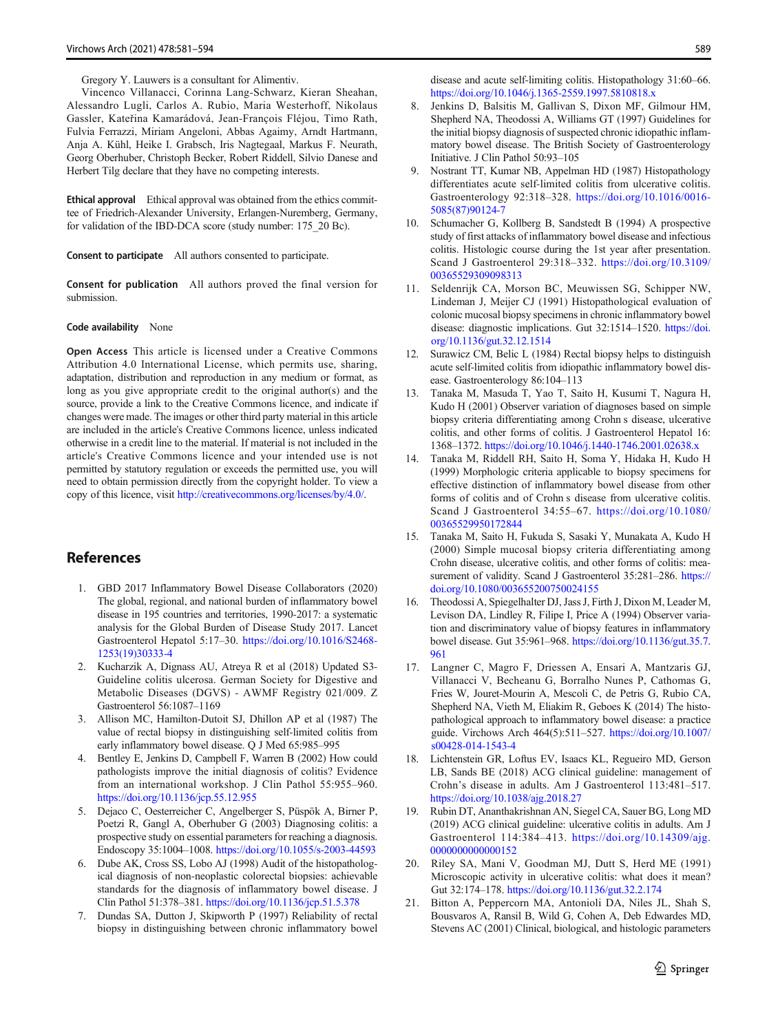Gregory Y. Lauwers is a consultant for Alimentiv.

<span id="page-8-0"></span>Vincenco Villanacci, Corinna Lang-Schwarz, Kieran Sheahan, Alessandro Lugli, Carlos A. Rubio, Maria Westerhoff, Nikolaus Gassler, Kateřina Kamarádová, Jean-François Fléjou, Timo Rath, Fulvia Ferrazzi, Miriam Angeloni, Abbas Agaimy, Arndt Hartmann, Anja A. Kühl, Heike I. Grabsch, Iris Nagtegaal, Markus F. Neurath, Georg Oberhuber, Christoph Becker, Robert Riddell, Silvio Danese and Herbert Tilg declare that they have no competing interests.

Ethical approval Ethical approval was obtained from the ethics committee of Friedrich-Alexander University, Erlangen-Nuremberg, Germany, for validation of the IBD-DCA score (study number: 175\_20 Bc).

Consent to participate All authors consented to participate.

Consent for publication All authors proved the final version for submission.

#### Code availability None

Open Access This article is licensed under a Creative Commons Attribution 4.0 International License, which permits use, sharing, adaptation, distribution and reproduction in any medium or format, as long as you give appropriate credit to the original author(s) and the source, provide a link to the Creative Commons licence, and indicate if changes were made. The images or other third party material in this article are included in the article's Creative Commons licence, unless indicated otherwise in a credit line to the material. If material is not included in the article's Creative Commons licence and your intended use is not permitted by statutory regulation or exceeds the permitted use, you will need to obtain permission directly from the copyright holder. To view a copy of this licence, visit [http://creativecommons.org/licenses/by/4.0/.](https://doi.org/)

## References

- 1. GBD 2017 Inflammatory Bowel Disease Collaborators (2020) The global, regional, and national burden of inflammatory bowel disease in 195 countries and territories, 1990-2017: a systematic analysis for the Global Burden of Disease Study 2017. Lancet Gastroenterol Hepatol 5:17–30. [https://doi.org/10.1016/S2468-](https://doi.org/10.1016/S2468-1253(19)30333-4) [1253\(19\)30333-4](https://doi.org/10.1016/S2468-1253(19)30333-4)
- 2. Kucharzik A, Dignass AU, Atreya R et al (2018) Updated S3- Guideline colitis ulcerosa. German Society for Digestive and Metabolic Diseases (DGVS) - AWMF Registry 021/009. Z Gastroenterol 56:1087–1169
- 3. Allison MC, Hamilton-Dutoit SJ, Dhillon AP et al (1987) The value of rectal biopsy in distinguishing self-limited colitis from early inflammatory bowel disease. Q J Med 65:985–995
- 4. Bentley E, Jenkins D, Campbell F, Warren B (2002) How could pathologists improve the initial diagnosis of colitis? Evidence from an international workshop. J Clin Pathol 55:955–960. <https://doi.org/10.1136/jcp.55.12.955>
- 5. Dejaco C, Oesterreicher C, Angelberger S, Püspök A, Birner P, Poetzi R, Gangl A, Oberhuber G (2003) Diagnosing colitis: a prospective study on essential parameters for reaching a diagnosis. Endoscopy 35:1004–1008. <https://doi.org/10.1055/s-2003-44593>
- 6. Dube AK, Cross SS, Lobo AJ (1998) Audit of the histopathological diagnosis of non-neoplastic colorectal biopsies: achievable standards for the diagnosis of inflammatory bowel disease. J Clin Pathol 51:378–381. <https://doi.org/10.1136/jcp.51.5.378>
- 7. Dundas SA, Dutton J, Skipworth P (1997) Reliability of rectal biopsy in distinguishing between chronic inflammatory bowel

disease and acute self-limiting colitis. Histopathology 31:60–66. <https://doi.org/10.1046/j.1365-2559.1997.5810818.x>

- 8. Jenkins D, Balsitis M, Gallivan S, Dixon MF, Gilmour HM, Shepherd NA, Theodossi A, Williams GT (1997) Guidelines for the initial biopsy diagnosis of suspected chronic idiopathic inflammatory bowel disease. The British Society of Gastroenterology Initiative. J Clin Pathol 50:93–105
- 9. Nostrant TT, Kumar NB, Appelman HD (1987) Histopathology differentiates acute self-limited colitis from ulcerative colitis. Gastroenterology 92:318–328. [https://doi.org/10.1016/0016-](https://doi.org/10.1016/0016-5085(87)90124-7) [5085\(87\)90124-7](https://doi.org/10.1016/0016-5085(87)90124-7)
- 10. Schumacher G, Kollberg B, Sandstedt B (1994) A prospective study of first attacks of inflammatory bowel disease and infectious colitis. Histologic course during the 1st year after presentation. Scand J Gastroenterol 29:318–332. [https://doi.org/10.3109/](https://doi.org/10.3109/00365529309098313) [00365529309098313](https://doi.org/10.3109/00365529309098313)
- 11. Seldenrijk CA, Morson BC, Meuwissen SG, Schipper NW, Lindeman J, Meijer CJ (1991) Histopathological evaluation of colonic mucosal biopsy specimens in chronic inflammatory bowel disease: diagnostic implications. Gut 32:1514–1520. [https://doi.](https://doi.org/10.1136/gut.32.12.1514) [org/10.1136/gut.32.12.1514](https://doi.org/10.1136/gut.32.12.1514)
- 12. Surawicz CM, Belic L (1984) Rectal biopsy helps to distinguish acute self-limited colitis from idiopathic inflammatory bowel disease. Gastroenterology 86:104–113
- 13. Tanaka M, Masuda T, Yao T, Saito H, Kusumi T, Nagura H, Kudo H (2001) Observer variation of diagnoses based on simple biopsy criteria differentiating among Crohn s disease, ulcerative colitis, and other forms of colitis. J Gastroenterol Hepatol 16: 1368–1372. <https://doi.org/10.1046/j.1440-1746.2001.02638.x>
- 14. Tanaka M, Riddell RH, Saito H, Soma Y, Hidaka H, Kudo H (1999) Morphologic criteria applicable to biopsy specimens for effective distinction of inflammatory bowel disease from other forms of colitis and of Crohn s disease from ulcerative colitis. Scand J Gastroenterol 34:55–67. [https://doi.org/10.1080/](https://doi.org/10.1080/00365529950172844) [00365529950172844](https://doi.org/10.1080/00365529950172844)
- 15. Tanaka M, Saito H, Fukuda S, Sasaki Y, Munakata A, Kudo H (2000) Simple mucosal biopsy criteria differentiating among Crohn disease, ulcerative colitis, and other forms of colitis: measurement of validity. Scand J Gastroenterol 35:281–286. [https://](https://doi.org/10.1080/003655200750024155) [doi.org/10.1080/003655200750024155](https://doi.org/10.1080/003655200750024155)
- 16. Theodossi A, Spiegelhalter DJ, Jass J, Firth J, Dixon M, Leader M, Levison DA, Lindley R, Filipe I, Price A (1994) Observer variation and discriminatory value of biopsy features in inflammatory bowel disease. Gut 35:961–968. [https://doi.org/10.1136/gut.35.7.](https://doi.org/10.1136/gut.35.7.961) [961](https://doi.org/10.1136/gut.35.7.961)
- 17. Langner C, Magro F, Driessen A, Ensari A, Mantzaris GJ, Villanacci V, Becheanu G, Borralho Nunes P, Cathomas G, Fries W, Jouret-Mourin A, Mescoli C, de Petris G, Rubio CA, Shepherd NA, Vieth M, Eliakim R, Geboes K (2014) The histopathological approach to inflammatory bowel disease: a practice guide. Virchows Arch 464(5):511–527. [https://doi.org/10.1007/](https://doi.org/10.1007/s00428-014-1543-4) [s00428-014-1543-4](https://doi.org/10.1007/s00428-014-1543-4)
- 18. Lichtenstein GR, Loftus EV, Isaacs KL, Regueiro MD, Gerson LB, Sands BE (2018) ACG clinical guideline: management of Crohn's disease in adults. Am J Gastroenterol 113:481–517. <https://doi.org/10.1038/ajg.2018.27>
- 19. Rubin DT, Ananthakrishnan AN, Siegel CA, Sauer BG, Long MD (2019) ACG clinical guideline: ulcerative colitis in adults. Am J Gastroenterol 114:384–413. [https://doi.org/10.14309/ajg.](https://doi.org/10.14309/ajg.0000000000000152) [0000000000000152](https://doi.org/10.14309/ajg.0000000000000152)
- Riley SA, Mani V, Goodman MJ, Dutt S, Herd ME (1991) Microscopic activity in ulcerative colitis: what does it mean? Gut 32:174–178. <https://doi.org/10.1136/gut.32.2.174>
- 21. Bitton A, Peppercorn MA, Antonioli DA, Niles JL, Shah S, Bousvaros A, Ransil B, Wild G, Cohen A, Deb Edwardes MD, Stevens AC (2001) Clinical, biological, and histologic parameters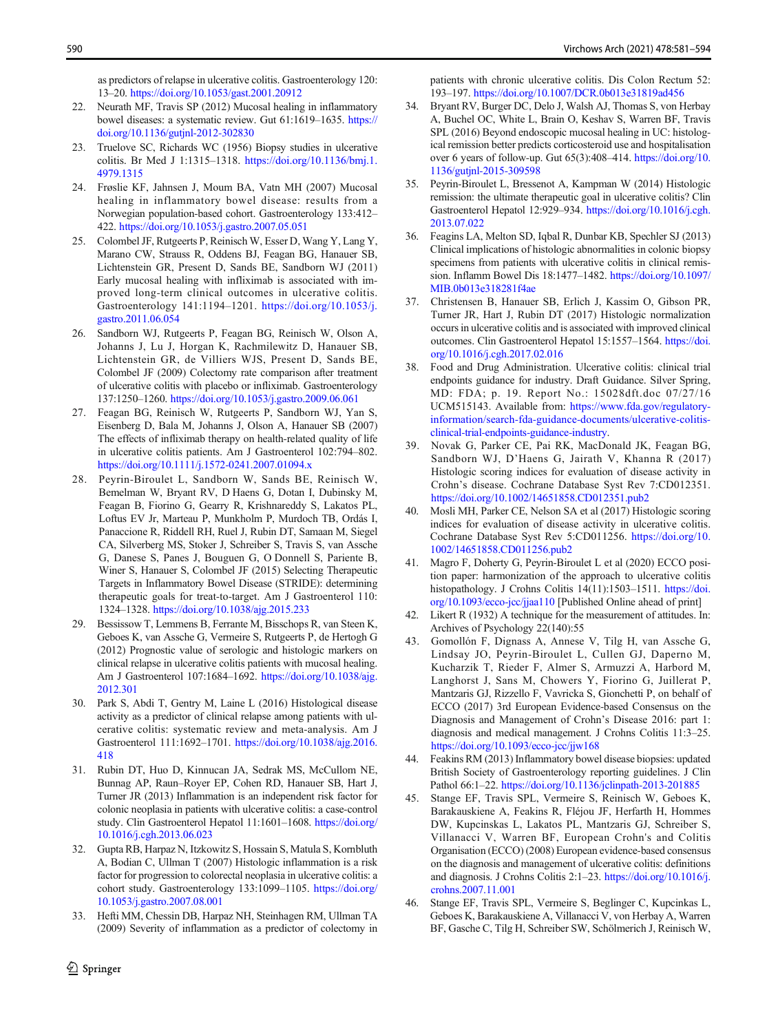<span id="page-9-0"></span>as predictors of relapse in ulcerative colitis. Gastroenterology 120: 13–20. <https://doi.org/10.1053/gast.2001.20912>

- 22. Neurath MF, Travis SP (2012) Mucosal healing in inflammatory bowel diseases: a systematic review. Gut 61:1619–1635. [https://](https://doi.org/10.1136/gutjnl-2012-302830) [doi.org/10.1136/gutjnl-2012-302830](https://doi.org/10.1136/gutjnl-2012-302830)
- 23. Truelove SC, Richards WC (1956) Biopsy studies in ulcerative colitis. Br Med J 1:1315–1318. [https://doi.org/10.1136/bmj.1.](https://doi.org/10.1136/bmj.1.4979.1315) [4979.1315](https://doi.org/10.1136/bmj.1.4979.1315)
- 24. Frøslie KF, Jahnsen J, Moum BA, Vatn MH (2007) Mucosal healing in inflammatory bowel disease: results from a Norwegian population-based cohort. Gastroenterology 133:412– 422. <https://doi.org/10.1053/j.gastro.2007.05.051>
- 25. Colombel JF, Rutgeerts P, Reinisch W, Esser D, Wang Y, Lang Y, Marano CW, Strauss R, Oddens BJ, Feagan BG, Hanauer SB, Lichtenstein GR, Present D, Sands BE, Sandborn WJ (2011) Early mucosal healing with infliximab is associated with improved long-term clinical outcomes in ulcerative colitis. Gastroenterology 141:1194–1201. [https://doi.org/10.1053/j.](https://doi.org/10.1053/j.gastro.2011.06.054) [gastro.2011.06.054](https://doi.org/10.1053/j.gastro.2011.06.054)
- 26. Sandborn WJ, Rutgeerts P, Feagan BG, Reinisch W, Olson A, Johanns J, Lu J, Horgan K, Rachmilewitz D, Hanauer SB, Lichtenstein GR, de Villiers WJS, Present D, Sands BE, Colombel JF (2009) Colectomy rate comparison after treatment of ulcerative colitis with placebo or infliximab. Gastroenterology 137:1250–1260. <https://doi.org/10.1053/j.gastro.2009.06.061>
- 27. Feagan BG, Reinisch W, Rutgeerts P, Sandborn WJ, Yan S, Eisenberg D, Bala M, Johanns J, Olson A, Hanauer SB (2007) The effects of infliximab therapy on health-related quality of life in ulcerative colitis patients. Am J Gastroenterol 102:794–802. <https://doi.org/10.1111/j.1572-0241.2007.01094.x>
- 28. Peyrin-Biroulet L, Sandborn W, Sands BE, Reinisch W, Bemelman W, Bryant RV, D Haens G, Dotan I, Dubinsky M, Feagan B, Fiorino G, Gearry R, Krishnareddy S, Lakatos PL, Loftus EV Jr, Marteau P, Munkholm P, Murdoch TB, Ordás I, Panaccione R, Riddell RH, Ruel J, Rubin DT, Samaan M, Siegel CA, Silverberg MS, Stoker J, Schreiber S, Travis S, van Assche G, Danese S, Panes J, Bouguen G, O Donnell S, Pariente B, Winer S, Hanauer S, Colombel JF (2015) Selecting Therapeutic Targets in Inflammatory Bowel Disease (STRIDE): determining therapeutic goals for treat-to-target. Am J Gastroenterol 110: 1324–1328. <https://doi.org/10.1038/ajg.2015.233>
- 29. Bessissow T, Lemmens B, Ferrante M, Bisschops R, van Steen K, Geboes K, van Assche G, Vermeire S, Rutgeerts P, de Hertogh G (2012) Prognostic value of serologic and histologic markers on clinical relapse in ulcerative colitis patients with mucosal healing. Am J Gastroenterol 107:1684–1692. [https://doi.org/10.1038/ajg.](https://doi.org/10.1038/ajg.2012.301) [2012.301](https://doi.org/10.1038/ajg.2012.301)
- 30. Park S, Abdi T, Gentry M, Laine L (2016) Histological disease activity as a predictor of clinical relapse among patients with ulcerative colitis: systematic review and meta-analysis. Am J Gastroenterol 111:1692–1701. [https://doi.org/10.1038/ajg.2016.](https://doi.org/10.1038/ajg.2016.418) [418](https://doi.org/10.1038/ajg.2016.418)
- 31. Rubin DT, Huo D, Kinnucan JA, Sedrak MS, McCullom NE, Bunnag AP, Raun–Royer EP, Cohen RD, Hanauer SB, Hart J, Turner JR (2013) Inflammation is an independent risk factor for colonic neoplasia in patients with ulcerative colitis: a case-control study. Clin Gastroenterol Hepatol 11:1601–1608. [https://doi.org/](https://doi.org/10.1016/j.cgh.2013.06.023) [10.1016/j.cgh.2013.06.023](https://doi.org/10.1016/j.cgh.2013.06.023)
- 32. Gupta RB, Harpaz N, Itzkowitz S, Hossain S, Matula S, Kornbluth A, Bodian C, Ullman T (2007) Histologic inflammation is a risk factor for progression to colorectal neoplasia in ulcerative colitis: a cohort study. Gastroenterology 133:1099–1105. [https://doi.org/](https://doi.org/10.1053/j.gastro.2007.08.001) [10.1053/j.gastro.2007.08.001](https://doi.org/10.1053/j.gastro.2007.08.001)
- 33. Hefti MM, Chessin DB, Harpaz NH, Steinhagen RM, Ullman TA (2009) Severity of inflammation as a predictor of colectomy in

 $\mathcal{D}$  Springer

patients with chronic ulcerative colitis. Dis Colon Rectum 52: 193–197. <https://doi.org/10.1007/DCR.0b013e31819ad456>

- 34. Bryant RV, Burger DC, Delo J, Walsh AJ, Thomas S, von Herbay A, Buchel OC, White L, Brain O, Keshav S, Warren BF, Travis SPL (2016) Beyond endoscopic mucosal healing in UC: histological remission better predicts corticosteroid use and hospitalisation over 6 years of follow-up. Gut 65(3):408–414. [https://doi.org/10.](https://doi.org/10.1136/gutjnl-2015-309598) [1136/gutjnl-2015-309598](https://doi.org/10.1136/gutjnl-2015-309598)
- 35. Peyrin-Biroulet L, Bressenot A, Kampman W (2014) Histologic remission: the ultimate therapeutic goal in ulcerative colitis? Clin Gastroenterol Hepatol 12:929–934. [https://doi.org/10.1016/j.cgh.](https://doi.org/10.1016/j.cgh.2013.07.022) [2013.07.022](https://doi.org/10.1016/j.cgh.2013.07.022)
- 36. Feagins LA, Melton SD, Iqbal R, Dunbar KB, Spechler SJ (2013) Clinical implications of histologic abnormalities in colonic biopsy specimens from patients with ulcerative colitis in clinical remission. Inflamm Bowel Dis 18:1477–1482. [https://doi.org/10.1097/](https://doi.org/10.1097/MIB.0b013e318281f4ae) [MIB.0b013e318281f4ae](https://doi.org/10.1097/MIB.0b013e318281f4ae)
- 37. Christensen B, Hanauer SB, Erlich J, Kassim O, Gibson PR, Turner JR, Hart J, Rubin DT (2017) Histologic normalization occurs in ulcerative colitis and is associated with improved clinical outcomes. Clin Gastroenterol Hepatol 15:1557–1564. [https://doi.](https://doi.org/10.1016/j.cgh.2017.02.016) [org/10.1016/j.cgh.2017.02.016](https://doi.org/10.1016/j.cgh.2017.02.016)
- 38. Food and Drug Administration. Ulcerative colitis: clinical trial endpoints guidance for industry. Draft Guidance. Silver Spring, MD: FDA; p. 19. Report No.: 15028dft.doc 07/27/16 UCM515143. Available from: [https://www.fda.gov/regulatory](https://www.fda.gov/regulatory-information/search-fda-guidance-documents/ulcerative-colitis-clinical-trial-endpoints-guidance-industry)[information/search-fda-guidance-documents/ulcerative-colitis](https://www.fda.gov/regulatory-information/search-fda-guidance-documents/ulcerative-colitis-clinical-trial-endpoints-guidance-industry)[clinical-trial-endpoints-guidance-industry.](https://www.fda.gov/regulatory-information/search-fda-guidance-documents/ulcerative-colitis-clinical-trial-endpoints-guidance-industry)
- 39. Novak G, Parker CE, Pai RK, MacDonald JK, Feagan BG, Sandborn WJ, D'Haens G, Jairath V, Khanna R (2017) Histologic scoring indices for evaluation of disease activity in Crohn's disease. Cochrane Database Syst Rev 7:CD012351. <https://doi.org/10.1002/14651858.CD012351.pub2>
- 40. Mosli MH, Parker CE, Nelson SA et al (2017) Histologic scoring indices for evaluation of disease activity in ulcerative colitis. Cochrane Database Syst Rev 5:CD011256. [https://doi.org/10.](https://doi.org/10.1002/14651858.CD011256.pub2) [1002/14651858.CD011256.pub2](https://doi.org/10.1002/14651858.CD011256.pub2)
- 41. Magro F, Doherty G, Peyrin-Biroulet L et al (2020) ECCO position paper: harmonization of the approach to ulcerative colitis histopathology. J Crohns Colitis 14(11):1503-1511. [https://doi.](https://doi.org/10.1093/ecco-jcc/jjaa110) [org/10.1093/ecco-jcc/jjaa110](https://doi.org/10.1093/ecco-jcc/jjaa110) [Published Online ahead of print]
- 42. Likert R (1932) A technique for the measurement of attitudes. In: Archives of Psychology 22(140):55
- 43. Gomollón F, Dignass A, Annese V, Tilg H, van Assche G, Lindsay JO, Peyrin-Biroulet L, Cullen GJ, Daperno M, Kucharzik T, Rieder F, Almer S, Armuzzi A, Harbord M, Langhorst J, Sans M, Chowers Y, Fiorino G, Juillerat P, Mantzaris GJ, Rizzello F, Vavricka S, Gionchetti P, on behalf of ECCO (2017) 3rd European Evidence-based Consensus on the Diagnosis and Management of Crohn's Disease 2016: part 1: diagnosis and medical management. J Crohns Colitis 11:3–25. <https://doi.org/10.1093/ecco-jcc/jjw168>
- 44. Feakins RM (2013) Inflammatory bowel disease biopsies: updated British Society of Gastroenterology reporting guidelines. J Clin Pathol 66:1–22. <https://doi.org/10.1136/jclinpath-2013-201885>
- 45. Stange EF, Travis SPL, Vermeire S, Reinisch W, Geboes K, Barakauskiene A, Feakins R, Fléjou JF, Herfarth H, Hommes DW, Kupcinskas L, Lakatos PL, Mantzaris GJ, Schreiber S, Villanacci V, Warren BF, European Crohn's and Colitis Organisation (ECCO) (2008) European evidence-based consensus on the diagnosis and management of ulcerative colitis: definitions and diagnosis. J Crohns Colitis 2:1–23. [https://doi.org/10.1016/j.](https://doi.org/10.1016/j.crohns.2007.11.001) [crohns.2007.11.001](https://doi.org/10.1016/j.crohns.2007.11.001)
- 46. Stange EF, Travis SPL, Vermeire S, Beglinger C, Kupcinkas L, Geboes K, Barakauskiene A, Villanacci V, von Herbay A, Warren BF, Gasche C, Tilg H, Schreiber SW, Schölmerich J, Reinisch W,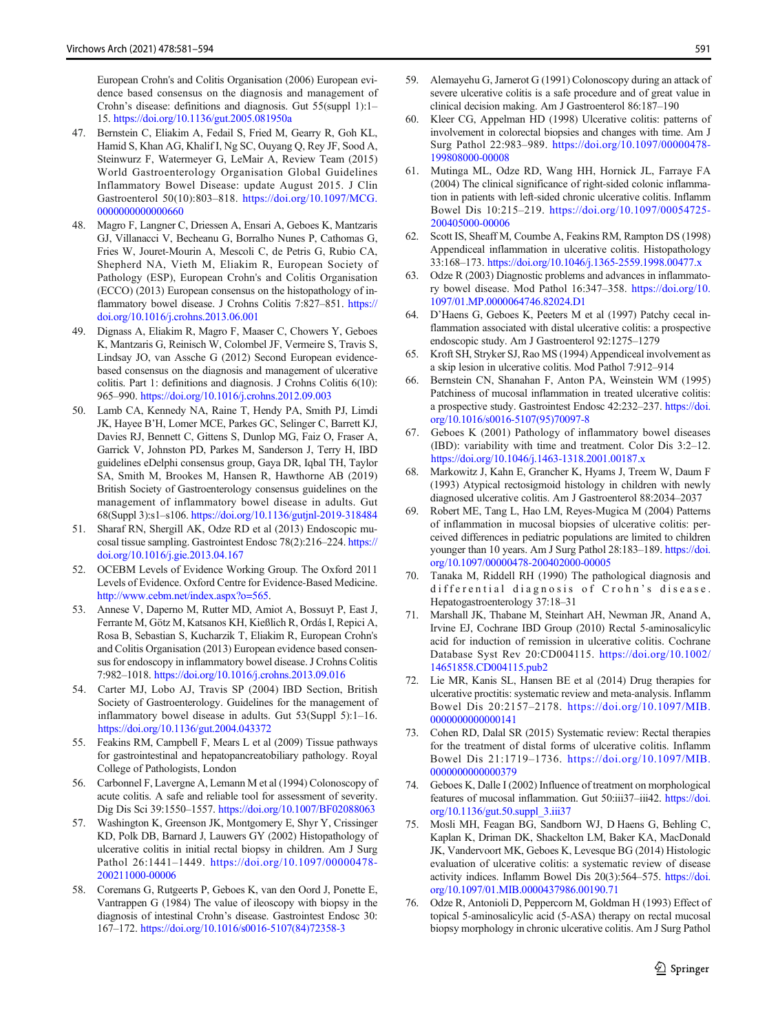<span id="page-10-0"></span>European Crohn's and Colitis Organisation (2006) European evidence based consensus on the diagnosis and management of Crohn's disease: definitions and diagnosis. Gut 55(suppl 1):1– 15. <https://doi.org/10.1136/gut.2005.081950a>

- 47. Bernstein C, Eliakim A, Fedail S, Fried M, Gearry R, Goh KL, Hamid S, Khan AG, Khalif I, Ng SC, Ouyang Q, Rey JF, Sood A, Steinwurz F, Watermeyer G, LeMair A, Review Team (2015) World Gastroenterology Organisation Global Guidelines Inflammatory Bowel Disease: update August 2015. J Clin Gastroenterol 50(10):803–818. [https://doi.org/10.1097/MCG.](https://doi.org/10.1097/MCG.0000000000000660) [0000000000000660](https://doi.org/10.1097/MCG.0000000000000660)
- 48. Magro F, Langner C, Driessen A, Ensari A, Geboes K, Mantzaris GJ, Villanacci V, Becheanu G, Borralho Nunes P, Cathomas G, Fries W, Jouret-Mourin A, Mescoli C, de Petris G, Rubio CA, Shepherd NA, Vieth M, Eliakim R, European Society of Pathology (ESP), European Crohn's and Colitis Organisation (ECCO) (2013) European consensus on the histopathology of inflammatory bowel disease. J Crohns Colitis 7:827–851. [https://](https://doi.org/10.1016/j.crohns.2013.06.001) [doi.org/10.1016/j.crohns.2013.06.001](https://doi.org/10.1016/j.crohns.2013.06.001)
- 49. Dignass A, Eliakim R, Magro F, Maaser C, Chowers Y, Geboes K, Mantzaris G, Reinisch W, Colombel JF, Vermeire S, Travis S, Lindsay JO, van Assche G (2012) Second European evidencebased consensus on the diagnosis and management of ulcerative colitis. Part 1: definitions and diagnosis. J Crohns Colitis 6(10): 965–990. <https://doi.org/10.1016/j.crohns.2012.09.003>
- 50. Lamb CA, Kennedy NA, Raine T, Hendy PA, Smith PJ, Limdi JK, Hayee B'H, Lomer MCE, Parkes GC, Selinger C, Barrett KJ, Davies RJ, Bennett C, Gittens S, Dunlop MG, Faiz O, Fraser A, Garrick V, Johnston PD, Parkes M, Sanderson J, Terry H, IBD guidelines eDelphi consensus group, Gaya DR, Iqbal TH, Taylor SA, Smith M, Brookes M, Hansen R, Hawthorne AB (2019) British Society of Gastroenterology consensus guidelines on the management of inflammatory bowel disease in adults. Gut 68(Suppl 3):s1–s106. <https://doi.org/10.1136/gutjnl-2019-318484>
- 51. Sharaf RN, Shergill AK, Odze RD et al (2013) Endoscopic mucosal tissue sampling. Gastrointest Endosc 78(2):216–224. [https://](https://doi.org/10.1016/j.gie.2013.04.167) [doi.org/10.1016/j.gie.2013.04.167](https://doi.org/10.1016/j.gie.2013.04.167)
- 52. OCEBM Levels of Evidence Working Group. The Oxford 2011 Levels of Evidence. Oxford Centre for Evidence-Based Medicine. [http://www.cebm.net/index.aspx?o=565.](http://www.cebm.net/index.aspx?o=565)
- 53. Annese V, Daperno M, Rutter MD, Amiot A, Bossuyt P, East J, Ferrante M, Götz M, Katsanos KH, Kießlich R, Ordás I, Repici A, Rosa B, Sebastian S, Kucharzik T, Eliakim R, European Crohn's and Colitis Organisation (2013) European evidence based consensus for endoscopy in inflammatory bowel disease. J Crohns Colitis 7:982–1018. <https://doi.org/10.1016/j.crohns.2013.09.016>
- 54. Carter MJ, Lobo AJ, Travis SP (2004) IBD Section, British Society of Gastroenterology. Guidelines for the management of inflammatory bowel disease in adults. Gut 53(Suppl 5):1–16. <https://doi.org/10.1136/gut.2004.043372>
- 55. Feakins RM, Campbell F, Mears L et al (2009) Tissue pathways for gastrointestinal and hepatopancreatobiliary pathology. Royal College of Pathologists, London
- 56. Carbonnel F, Lavergne A, Lemann M et al (1994) Colonoscopy of acute colitis. A safe and reliable tool for assessment of severity. Dig Dis Sci 39:1550–1557. <https://doi.org/10.1007/BF02088063>
- 57. Washington K, Greenson JK, Montgomery E, Shyr Y, Crissinger KD, Polk DB, Barnard J, Lauwers GY (2002) Histopathology of ulcerative colitis in initial rectal biopsy in children. Am J Surg Pathol 26:1441–1449. [https://doi.org/10.1097/00000478-](https://doi.org/10.1097/00000478-200211000-00006) [200211000-00006](https://doi.org/10.1097/00000478-200211000-00006)
- 58. Coremans G, Rutgeerts P, Geboes K, van den Oord J, Ponette E, Vantrappen G (1984) The value of ileoscopy with biopsy in the diagnosis of intestinal Crohn's disease. Gastrointest Endosc 30: 167–172. [https://doi.org/10.1016/s0016-5107\(84\)72358-3](https://doi.org/10.1016/s0016-5107(84)72358-3)
- 59. Alemayehu G, Jarnerot G (1991) Colonoscopy during an attack of severe ulcerative colitis is a safe procedure and of great value in clinical decision making. Am J Gastroenterol 86:187–190
- 60. Kleer CG, Appelman HD (1998) Ulcerative colitis: patterns of involvement in colorectal biopsies and changes with time. Am J Surg Pathol 22:983–989. [https://doi.org/10.1097/00000478-](https://doi.org/10.1097/00000478-199808000-00008) [199808000-00008](https://doi.org/10.1097/00000478-199808000-00008)
- 61. Mutinga ML, Odze RD, Wang HH, Hornick JL, Farraye FA (2004) The clinical significance of right-sided colonic inflammation in patients with left-sided chronic ulcerative colitis. Inflamm Bowel Dis 10:215–219. [https://doi.org/10.1097/00054725-](https://doi.org/10.1097/00054725-200405000-00006) [200405000-00006](https://doi.org/10.1097/00054725-200405000-00006)
- 62. Scott IS, Sheaff M, Coumbe A, Feakins RM, Rampton DS (1998) Appendiceal inflammation in ulcerative colitis. Histopathology 33:168–173. <https://doi.org/10.1046/j.1365-2559.1998.00477.x>
- 63. Odze R (2003) Diagnostic problems and advances in inflammatory bowel disease. Mod Pathol 16:347–358. [https://doi.org/10.](https://doi.org/10.1097/01.MP.0000064746.82024.D1) [1097/01.MP.0000064746.82024.D1](https://doi.org/10.1097/01.MP.0000064746.82024.D1)
- 64. D'Haens G, Geboes K, Peeters M et al (1997) Patchy cecal inflammation associated with distal ulcerative colitis: a prospective endoscopic study. Am J Gastroenterol 92:1275–1279
- 65. Kroft SH, Stryker SJ, Rao MS (1994) Appendiceal involvement as a skip lesion in ulcerative colitis. Mod Pathol 7:912–914
- 66. Bernstein CN, Shanahan F, Anton PA, Weinstein WM (1995) Patchiness of mucosal inflammation in treated ulcerative colitis: a prospective study. Gastrointest Endosc 42:232–237. [https://doi.](https://doi.org/10.1016/s0016-5107(95)70097-8) [org/10.1016/s0016-5107\(95\)70097-8](https://doi.org/10.1016/s0016-5107(95)70097-8)
- 67. Geboes K (2001) Pathology of inflammatory bowel diseases (IBD): variability with time and treatment. Color Dis 3:2–12. <https://doi.org/10.1046/j.1463-1318.2001.00187.x>
- 68. Markowitz J, Kahn E, Grancher K, Hyams J, Treem W, Daum F (1993) Atypical rectosigmoid histology in children with newly diagnosed ulcerative colitis. Am J Gastroenterol 88:2034–2037
- 69. Robert ME, Tang L, Hao LM, Reyes-Mugica M (2004) Patterns of inflammation in mucosal biopsies of ulcerative colitis: perceived differences in pediatric populations are limited to children younger than 10 years. Am J Surg Pathol 28:183-189. [https://doi.](https://doi.org/10.1097/00000478-200402000-00005) [org/10.1097/00000478-200402000-00005](https://doi.org/10.1097/00000478-200402000-00005)
- 70. Tanaka M, Riddell RH (1990) The pathological diagnosis and differential diagnosis of Crohn's disease. Hepatogastroenterology 37:18–31
- 71. Marshall JK, Thabane M, Steinhart AH, Newman JR, Anand A, Irvine EJ, Cochrane IBD Group (2010) Rectal 5-aminosalicylic acid for induction of remission in ulcerative colitis. Cochrane Database Syst Rev 20:CD004115. [https://doi.org/10.1002/](https://doi.org/10.1002/14651858.CD004115.pub2) [14651858.CD004115.pub2](https://doi.org/10.1002/14651858.CD004115.pub2)
- 72. Lie MR, Kanis SL, Hansen BE et al (2014) Drug therapies for ulcerative proctitis: systematic review and meta-analysis. Inflamm Bowel Dis 20:2157–2178. [https://doi.org/10.1097/MIB.](https://doi.org/10.1097/MIB.0000000000000141) [0000000000000141](https://doi.org/10.1097/MIB.0000000000000141)
- 73. Cohen RD, Dalal SR (2015) Systematic review: Rectal therapies for the treatment of distal forms of ulcerative colitis. Inflamm Bowel Dis 21:1719–1736. [https://doi.org/10.1097/MIB.](https://doi.org/10.1097/MIB.0000000000000379) [0000000000000379](https://doi.org/10.1097/MIB.0000000000000379)
- 74. Geboes K, Dalle I (2002) Influence of treatment on morphological features of mucosal inflammation. Gut 50:iii37–iii42. [https://doi.](https://doi.org/10.1136/gut.50.suppl_3.iii37) [org/10.1136/gut.50.suppl\\_3.iii37](https://doi.org/10.1136/gut.50.suppl_3.iii37)
- 75. Mosli MH, Feagan BG, Sandborn WJ, D Haens G, Behling C, Kaplan K, Driman DK, Shackelton LM, Baker KA, MacDonald JK, Vandervoort MK, Geboes K, Levesque BG (2014) Histologic evaluation of ulcerative colitis: a systematic review of disease activity indices. Inflamm Bowel Dis 20(3):564–575. [https://doi.](https://doi.org/10.1097/01.MIB.0000437986.00190.71) [org/10.1097/01.MIB.0000437986.00190.71](https://doi.org/10.1097/01.MIB.0000437986.00190.71)
- 76. Odze R, Antonioli D, Peppercorn M, Goldman H (1993) Effect of topical 5-aminosalicylic acid (5-ASA) therapy on rectal mucosal biopsy morphology in chronic ulcerative colitis. Am J Surg Pathol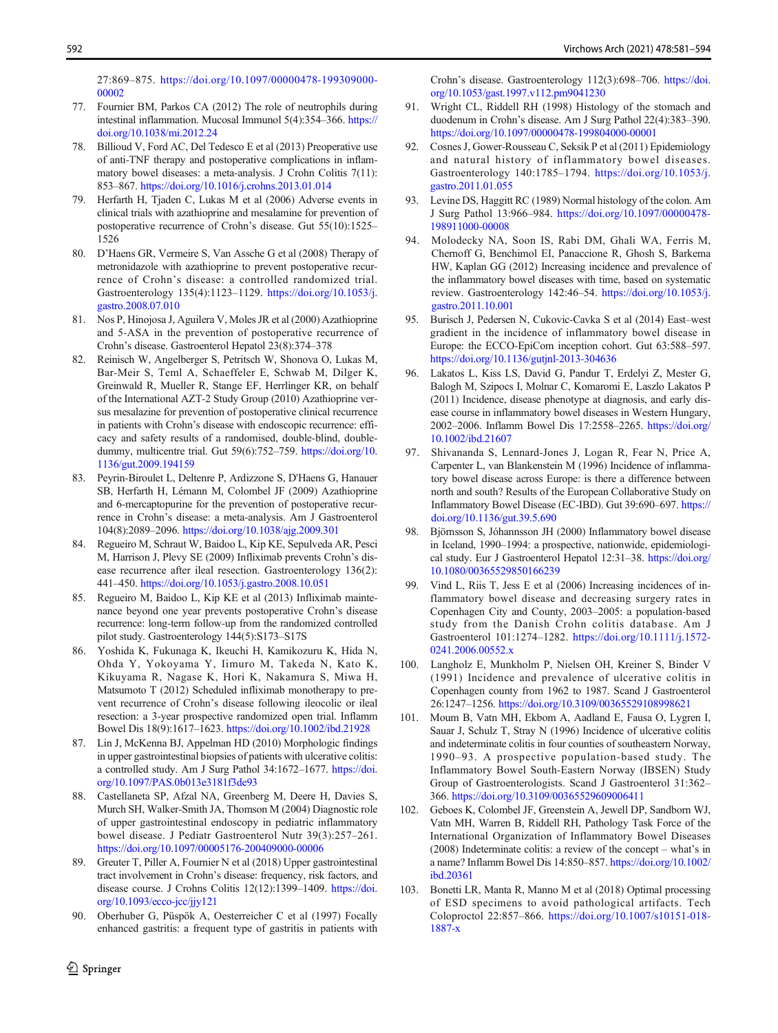<span id="page-11-0"></span>27:869–875. [https://doi.org/10.1097/00000478-199309000-](https://doi.org/10.1097/00000478-199309000-00002) [00002](https://doi.org/10.1097/00000478-199309000-00002)

- 77. Fournier BM, Parkos CA (2012) The role of neutrophils during intestinal inflammation. Mucosal Immunol 5(4):354–366. [https://](https://doi.org/10.1038/mi.2012.24) [doi.org/10.1038/mi.2012.24](https://doi.org/10.1038/mi.2012.24)
- 78. Billioud V, Ford AC, Del Tedesco E et al (2013) Preoperative use of anti-TNF therapy and postoperative complications in inflammatory bowel diseases: a meta-analysis. J Crohn Colitis 7(11): 853–867. <https://doi.org/10.1016/j.crohns.2013.01.014>
- 79. Herfarth H, Tjaden C, Lukas M et al (2006) Adverse events in clinical trials with azathioprine and mesalamine for prevention of postoperative recurrence of Crohn's disease. Gut 55(10):1525– 1526
- 80. D'Haens GR, Vermeire S, Van Assche G et al (2008) Therapy of metronidazole with azathioprine to prevent postoperative recurrence of Crohn's disease: a controlled randomized trial. Gastroenterology 135(4):1123–1129. [https://doi.org/10.1053/j.](https://doi.org/10.1053/j.gastro.2008.07.010) [gastro.2008.07.010](https://doi.org/10.1053/j.gastro.2008.07.010)
- 81. Nos P, Hinojosa J, Aguilera V, Moles JR et al (2000) Azathioprine and 5-ASA in the prevention of postoperative recurrence of Crohn's disease. Gastroenterol Hepatol 23(8):374–378
- 82. Reinisch W, Angelberger S, Petritsch W, Shonova O, Lukas M, Bar-Meir S, Teml A, Schaeffeler E, Schwab M, Dilger K, Greinwald R, Mueller R, Stange EF, Herrlinger KR, on behalf of the International AZT-2 Study Group (2010) Azathioprine versus mesalazine for prevention of postoperative clinical recurrence in patients with Crohn's disease with endoscopic recurrence: efficacy and safety results of a randomised, double-blind, doubledummy, multicentre trial. Gut 59(6):752–759. [https://doi.org/10.](https://doi.org/10.1136/gut.2009.194159) [1136/gut.2009.194159](https://doi.org/10.1136/gut.2009.194159)
- 83. Peyrin-Biroulet L, Deltenre P, Ardizzone S, D'Haens G, Hanauer SB, Herfarth H, Lémann M, Colombel JF (2009) Azathioprine and 6-mercaptopurine for the prevention of postoperative recurrence in Crohn's disease: a meta-analysis. Am J Gastroenterol 104(8):2089–2096. <https://doi.org/10.1038/ajg.2009.301>
- 84. Regueiro M, Schraut W, Baidoo L, Kip KE, Sepulveda AR, Pesci M, Harrison J, Plevy SE (2009) Infliximab prevents Crohn's disease recurrence after ileal resection. Gastroenterology 136(2): 441–450. <https://doi.org/10.1053/j.gastro.2008.10.051>
- 85. Regueiro M, Baidoo L, Kip KE et al (2013) Infliximab maintenance beyond one year prevents postoperative Crohn's disease recurrence: long-term follow-up from the randomized controlled pilot study. Gastroenterology 144(5):S173–S17S
- 86. Yoshida K, Fukunaga K, Ikeuchi H, Kamikozuru K, Hida N, Ohda Y, Yokoyama Y, Iimuro M, Takeda N, Kato K, Kikuyama R, Nagase K, Hori K, Nakamura S, Miwa H, Matsumoto T (2012) Scheduled infliximab monotherapy to prevent recurrence of Crohn's disease following ileocolic or ileal resection: a 3-year prospective randomized open trial. Inflamm Bowel Dis 18(9):1617–1623. <https://doi.org/10.1002/ibd.21928>
- 87. Lin J, McKenna BJ, Appelman HD (2010) Morphologic findings in upper gastrointestinal biopsies of patients with ulcerative colitis: a controlled study. Am J Surg Pathol 34:1672–1677. [https://doi.](https://doi.org/10.1097/PAS.0b013e3181f3de93) [org/10.1097/PAS.0b013e3181f3de93](https://doi.org/10.1097/PAS.0b013e3181f3de93)
- 88. Castellaneta SP, Afzal NA, Greenberg M, Deere H, Davies S, Murch SH, Walker-Smith JA, Thomson M (2004) Diagnostic role of upper gastrointestinal endoscopy in pediatric inflammatory bowel disease. J Pediatr Gastroenterol Nutr 39(3):257–261. <https://doi.org/10.1097/00005176-200409000-00006>
- 89. Greuter T, Piller A, Fournier N et al (2018) Upper gastrointestinal tract involvement in Crohn's disease: frequency, risk factors, and disease course. J Crohns Colitis 12(12):1399–1409. [https://doi.](https://doi.org/10.1093/ecco-jcc/jjy121) [org/10.1093/ecco-jcc/jjy121](https://doi.org/10.1093/ecco-jcc/jjy121)
- 90. Oberhuber G, Püspök A, Oesterreicher C et al (1997) Focally enhanced gastritis: a frequent type of gastritis in patients with

 $\mathcal{D}$  Springer

Crohn's disease. Gastroenterology 112(3):698–706. [https://doi.](https://doi.org/10.1053/gast.1997.v112.pm9041230) [org/10.1053/gast.1997.v112.pm9041230](https://doi.org/10.1053/gast.1997.v112.pm9041230)

- Wright CL, Riddell RH (1998) Histology of the stomach and duodenum in Crohn's disease. Am J Surg Pathol 22(4):383–390. <https://doi.org/10.1097/00000478-199804000-00001>
- 92. Cosnes J, Gower-Rousseau C, Seksik P et al (2011) Epidemiology and natural history of inflammatory bowel diseases. Gastroenterology 140:1785–1794. [https://doi.org/10.1053/j.](https://doi.org/10.1053/j.gastro.2011.01.055) [gastro.2011.01.055](https://doi.org/10.1053/j.gastro.2011.01.055)
- 93. Levine DS, Haggitt RC (1989) Normal histology of the colon. Am J Surg Pathol 13:966–984. [https://doi.org/10.1097/00000478-](https://doi.org/10.1097/00000478-198911000-00008) [198911000-00008](https://doi.org/10.1097/00000478-198911000-00008)
- 94. Molodecky NA, Soon IS, Rabi DM, Ghali WA, Ferris M, Chernoff G, Benchimol EI, Panaccione R, Ghosh S, Barkema HW, Kaplan GG (2012) Increasing incidence and prevalence of the inflammatory bowel diseases with time, based on systematic review. Gastroenterology 142:46–54. [https://doi.org/10.1053/j.](https://doi.org/10.1053/j.gastro.2011.10.001) [gastro.2011.10.001](https://doi.org/10.1053/j.gastro.2011.10.001)
- 95. Burisch J, Pedersen N, Cukovic-Cavka S et al (2014) East–west gradient in the incidence of inflammatory bowel disease in Europe: the ECCO-EpiCom inception cohort. Gut 63:588–597. <https://doi.org/10.1136/gutjnl-2013-304636>
- 96. Lakatos L, Kiss LS, David G, Pandur T, Erdelyi Z, Mester G, Balogh M, Szipocs I, Molnar C, Komaromi E, Laszlo Lakatos P (2011) Incidence, disease phenotype at diagnosis, and early disease course in inflammatory bowel diseases in Western Hungary, 2002–2006. Inflamm Bowel Dis 17:2558–2265. [https://doi.org/](https://doi.org/10.1002/ibd.21607) [10.1002/ibd.21607](https://doi.org/10.1002/ibd.21607)
- 97. Shivananda S, Lennard-Jones J, Logan R, Fear N, Price A, Carpenter L, van Blankenstein M (1996) Incidence of inflammatory bowel disease across Europe: is there a difference between north and south? Results of the European Collaborative Study on Inflammatory Bowel Disease (EC-IBD). Gut 39:690–697. [https://](https://doi.org/10.1136/gut.39.5.690) [doi.org/10.1136/gut.39.5.690](https://doi.org/10.1136/gut.39.5.690)
- 98. Björnsson S, Jóhannsson JH (2000) Inflammatory bowel disease in Iceland, 1990–1994: a prospective, nationwide, epidemiological study. Eur J Gastroenterol Hepatol 12:31–38. [https://doi.org/](https://doi.org/10.1080/00365529850166239) [10.1080/00365529850166239](https://doi.org/10.1080/00365529850166239)
- 99. Vind L, Riis T, Jess E et al (2006) Increasing incidences of inflammatory bowel disease and decreasing surgery rates in Copenhagen City and County, 2003–2005: a population-based study from the Danish Crohn colitis database. Am J Gastroenterol 101:1274–1282. [https://doi.org/10.1111/j.1572-](https://doi.org/10.1111/j.1572-0241.2006.00552.x) [0241.2006.00552.x](https://doi.org/10.1111/j.1572-0241.2006.00552.x)
- 100. Langholz E, Munkholm P, Nielsen OH, Kreiner S, Binder V (1991) Incidence and prevalence of ulcerative colitis in Copenhagen county from 1962 to 1987. Scand J Gastroenterol 26:1247–1256. <https://doi.org/10.3109/00365529108998621>
- 101. Moum B, Vatn MH, Ekbom A, Aadland E, Fausa O, Lygren I, Sauar J, Schulz T, Stray N (1996) Incidence of ulcerative colitis and indeterminate colitis in four counties of southeastern Norway, 1990–93. A prospective population-based study. The Inflammatory Bowel South-Eastern Norway (IBSEN) Study Group of Gastroenterologists. Scand J Gastroenterol 31:362– 366. <https://doi.org/10.3109/00365529609006411>
- 102. Geboes K, Colombel JF, Greenstein A, Jewell DP, Sandborn WJ, Vatn MH, Warren B, Riddell RH, Pathology Task Force of the International Organization of Inflammatory Bowel Diseases (2008) Indeterminate colitis: a review of the concept – what's in a name? Inflamm Bowel Dis 14:850–857. [https://doi.org/10.1002/](https://doi.org/10.1002/ibd.20361) [ibd.20361](https://doi.org/10.1002/ibd.20361)
- 103. Bonetti LR, Manta R, Manno M et al (2018) Optimal processing of ESD specimens to avoid pathological artifacts. Tech Coloproctol 22:857–866. [https://doi.org/10.1007/s10151-018-](https://doi.org/10.1007/s10151-018-1887-x) [1887-x](https://doi.org/10.1007/s10151-018-1887-x)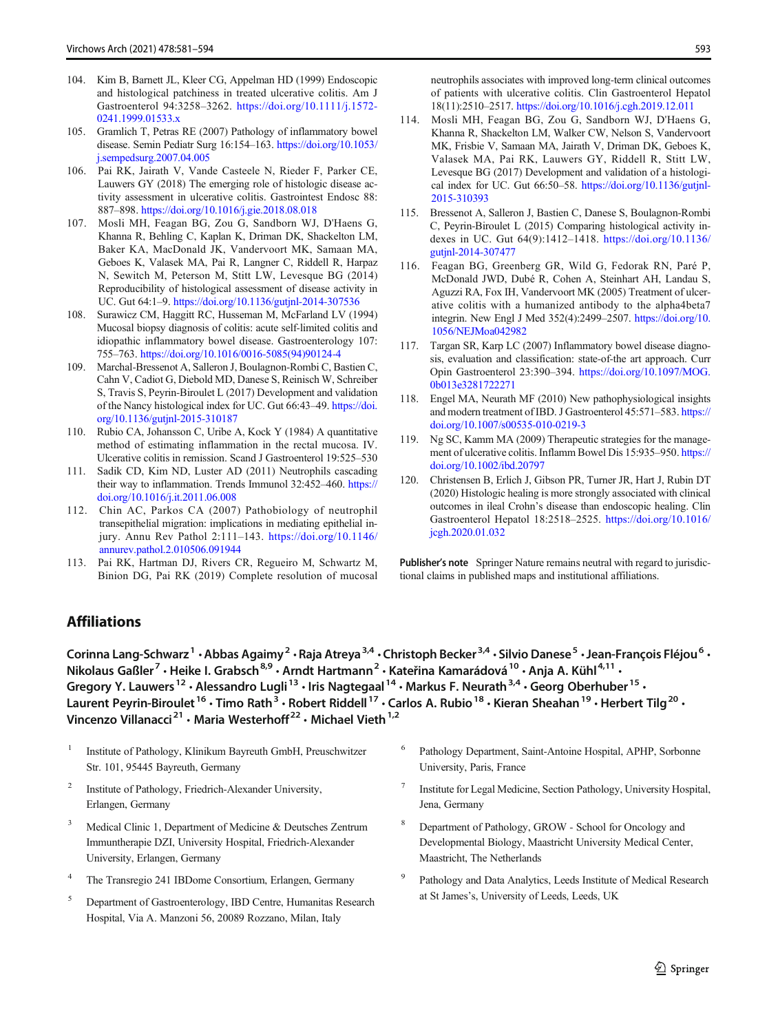- <span id="page-12-0"></span>104. Kim B, Barnett JL, Kleer CG, Appelman HD (1999) Endoscopic and histological patchiness in treated ulcerative colitis. Am J Gastroenterol 94:3258–3262. [https://doi.org/10.1111/j.1572-](https://doi.org/10.1111/j.1572-0241.1999.01533.x) [0241.1999.01533.x](https://doi.org/10.1111/j.1572-0241.1999.01533.x)
- 105. Gramlich T, Petras RE (2007) Pathology of inflammatory bowel disease. Semin Pediatr Surg 16:154–163. [https://doi.org/10.1053/](https://doi.org/10.1053/j.sempedsurg.2007.04.005) [j.sempedsurg.2007.04.005](https://doi.org/10.1053/j.sempedsurg.2007.04.005)
- 106. Pai RK, Jairath V, Vande Casteele N, Rieder F, Parker CE, Lauwers GY (2018) The emerging role of histologic disease activity assessment in ulcerative colitis. Gastrointest Endosc 88: 887–898. <https://doi.org/10.1016/j.gie.2018.08.018>
- 107. Mosli MH, Feagan BG, Zou G, Sandborn WJ, D'Haens G, Khanna R, Behling C, Kaplan K, Driman DK, Shackelton LM, Baker KA, MacDonald JK, Vandervoort MK, Samaan MA, Geboes K, Valasek MA, Pai R, Langner C, Riddell R, Harpaz N, Sewitch M, Peterson M, Stitt LW, Levesque BG (2014) Reproducibility of histological assessment of disease activity in UC. Gut 64:1–9. <https://doi.org/10.1136/gutjnl-2014-307536>
- 108. Surawicz CM, Haggitt RC, Husseman M, McFarland LV (1994) Mucosal biopsy diagnosis of colitis: acute self-limited colitis and idiopathic inflammatory bowel disease. Gastroenterology 107: 755–763. [https://doi.org/10.1016/0016-5085\(94\)90124-4](https://doi.org/10.1016/0016-5085(94)90124-4)
- 109. Marchal-Bressenot A, Salleron J, Boulagnon-Rombi C, Bastien C, Cahn V, Cadiot G, Diebold MD, Danese S, Reinisch W, Schreiber S, Travis S, Peyrin-Biroulet L (2017) Development and validation of the Nancy histological index for UC. Gut 66:43–49. [https://doi.](https://doi.org/10.1136/gutjnl-2015-310187) [org/10.1136/gutjnl-2015-310187](https://doi.org/10.1136/gutjnl-2015-310187)
- 110. Rubio CA, Johansson C, Uribe A, Kock Y (1984) A quantitative method of estimating inflammation in the rectal mucosa. IV. Ulcerative colitis in remission. Scand J Gastroenterol 19:525–530
- 111. Sadik CD, Kim ND, Luster AD (2011) Neutrophils cascading their way to inflammation. Trends Immunol 32:452–460. [https://](https://doi.org/10.1016/j.it.2011.06.008) [doi.org/10.1016/j.it.2011.06.008](https://doi.org/10.1016/j.it.2011.06.008)
- 112. Chin AC, Parkos CA (2007) Pathobiology of neutrophil transepithelial migration: implications in mediating epithelial injury. Annu Rev Pathol 2:111–143. [https://doi.org/10.1146/](https://doi.org/10.1146/annurev.pathol.2.010506.091944) [annurev.pathol.2.010506.091944](https://doi.org/10.1146/annurev.pathol.2.010506.091944)
- 113. Pai RK, Hartman DJ, Rivers CR, Regueiro M, Schwartz M, Binion DG, Pai RK (2019) Complete resolution of mucosal
- 114. Mosli MH, Feagan BG, Zou G, Sandborn WJ, D'Haens G, Khanna R, Shackelton LM, Walker CW, Nelson S, Vandervoort MK, Frisbie V, Samaan MA, Jairath V, Driman DK, Geboes K, Valasek MA, Pai RK, Lauwers GY, Riddell R, Stitt LW, Levesque BG (2017) Development and validation of a histological index for UC. Gut 66:50–58. [https://doi.org/10.1136/gutjnl-](https://doi.org/10.1136/gutjnl-2015-310393)[2015-310393](https://doi.org/10.1136/gutjnl-2015-310393)
- 115. Bressenot A, Salleron J, Bastien C, Danese S, Boulagnon-Rombi C, Peyrin-Biroulet L (2015) Comparing histological activity indexes in UC. Gut 64(9):1412–1418. [https://doi.org/10.1136/](https://doi.org/10.1136/gutjnl-2014-307477) [gutjnl-2014-307477](https://doi.org/10.1136/gutjnl-2014-307477)
- 116. Feagan BG, Greenberg GR, Wild G, Fedorak RN, Paré P, McDonald JWD, Dubé R, Cohen A, Steinhart AH, Landau S, Aguzzi RA, Fox IH, Vandervoort MK (2005) Treatment of ulcerative colitis with a humanized antibody to the alpha4beta7 integrin. New Engl J Med 352(4):2499–2507. [https://doi.org/10.](https://doi.org/10.1056/NEJMoa042982) [1056/NEJMoa042982](https://doi.org/10.1056/NEJMoa042982)
- 117. Targan SR, Karp LC (2007) Inflammatory bowel disease diagnosis, evaluation and classification: state-of-the art approach. Curr Opin Gastroenterol 23:390–394. [https://doi.org/10.1097/MOG.](https://doi.org/10.1097/MOG.0b013e3281722271) [0b013e3281722271](https://doi.org/10.1097/MOG.0b013e3281722271)
- 118. Engel MA, Neurath MF (2010) New pathophysiological insights and modern treatment of IBD. J Gastroenterol 45:571–583. [https://](https://doi.org/10.1007/s00535-010-0219-3) [doi.org/10.1007/s00535-010-0219-3](https://doi.org/10.1007/s00535-010-0219-3)
- 119. Ng SC, Kamm MA (2009) Therapeutic strategies for the management of ulcerative colitis. Inflamm Bowel Dis 15:935–950. [https://](https://doi.org/10.1002/ibd.20797) [doi.org/10.1002/ibd.20797](https://doi.org/10.1002/ibd.20797)
- 120. Christensen B, Erlich J, Gibson PR, Turner JR, Hart J, Rubin DT (2020) Histologic healing is more strongly associated with clinical outcomes in ileal Crohn's disease than endoscopic healing. Clin Gastroenterol Hepatol 18:2518–2525. [https://doi.org/10.1016/](https://doi.org/10.1016/jcgh.2020.01.032) [jcgh.2020.01.032](https://doi.org/10.1016/jcgh.2020.01.032)

Publisher's note Springer Nature remains neutral with regard to jurisdictional claims in published maps and institutional affiliations.

# Affiliations

Corinna Lang-Schwarz<sup>1</sup> • Abbas Agaimy<sup>2</sup> • Raja Atreya<sup>3,4</sup> • Christoph Becker<sup>3,4</sup> • Silvio Danese<sup>5</sup> • Jean-François Fléjou<sup>6</sup> • Nikolaus Gaßler<sup>7</sup> · Heike I. Grabsch<sup>8,9</sup> · Arndt Hartmann<sup>2</sup> · Kateřina Kamarádová <sup>10</sup> · Anja A. Kühl<sup>4,11</sup> · Gregory Y. Lauwers<sup>12</sup> • Alessandro Lugli<sup>13</sup> • Iris Nagtegaal<sup>14</sup> • Markus F. Neurath<sup>3,4</sup> • Georg Oberhuber<sup>15</sup> • Laurent Peyrin-Biroulet<sup>16</sup> · Timo Rath<sup>3</sup> · Robert Riddell<sup>17</sup> · Carlos A. Rubio<sup>18</sup> · Kieran Sheahan<sup>19</sup> · Herbert Tilg<sup>20</sup> · Vincenzo Villanacci<sup>21</sup> · Maria Westerhoff<sup>22</sup> · Michael Vieth<sup>1,2</sup>

- <sup>1</sup> Institute of Pathology, Klinikum Bayreuth GmbH, Preuschwitzer Str. 101, 95445 Bayreuth, Germany
- <sup>2</sup> Institute of Pathology, Friedrich-Alexander University, Erlangen, Germany
- Medical Clinic 1, Department of Medicine & Deutsches Zentrum Immuntherapie DZI, University Hospital, Friedrich-Alexander University, Erlangen, Germany
- <sup>4</sup> The Transregio 241 IBDome Consortium, Erlangen, Germany
- <sup>5</sup> Department of Gastroenterology, IBD Centre, Humanitas Research Hospital, Via A. Manzoni 56, 20089 Rozzano, Milan, Italy
- Pathology Department, Saint-Antoine Hospital, APHP, Sorbonne University, Paris, France
- Institute for Legal Medicine, Section Pathology, University Hospital, Jena, Germany
- <sup>8</sup> Department of Pathology, GROW School for Oncology and Developmental Biology, Maastricht University Medical Center, Maastricht, The Netherlands
- Pathology and Data Analytics, Leeds Institute of Medical Research at St James's, University of Leeds, Leeds, UK

 $\mathcal{D}$  Springer